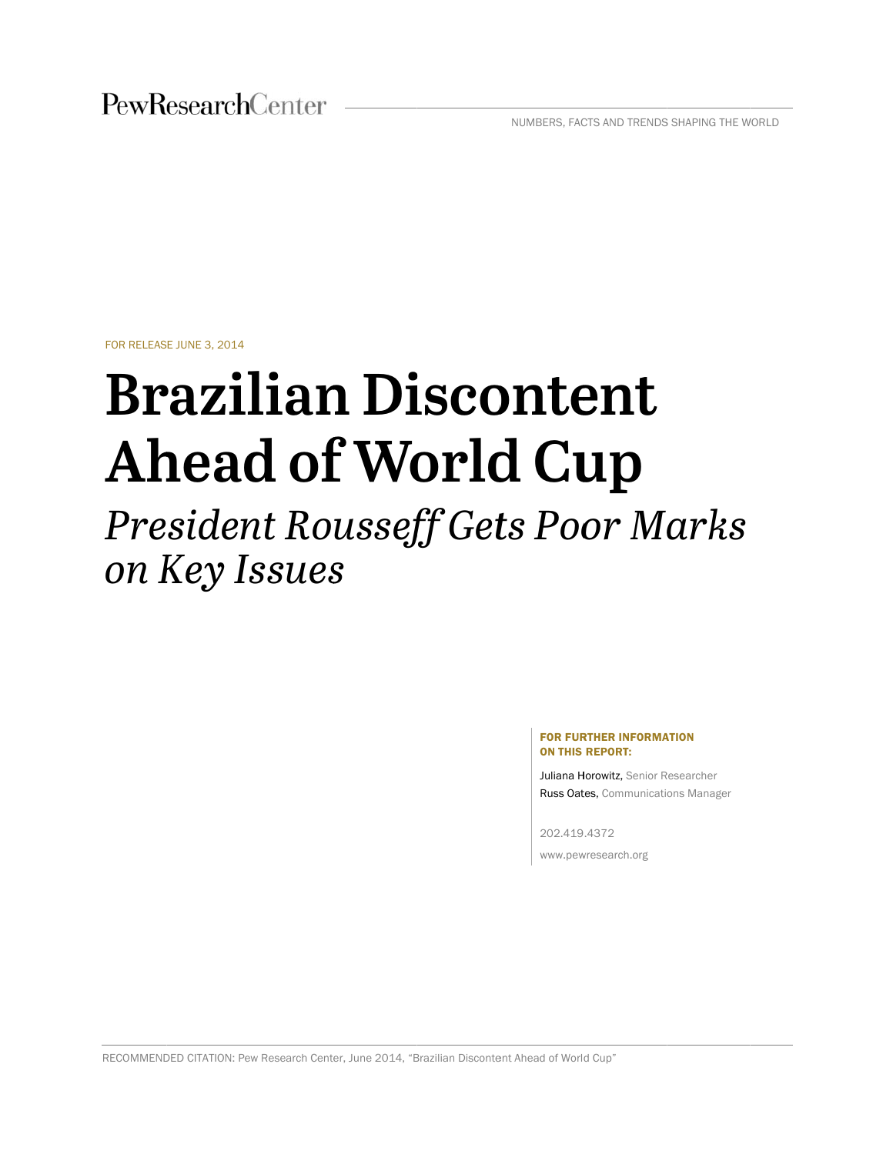NUMBERS, FACTS AND TRENDS SHAPING THE WORLD

FOR RELEAS E JUNE 3, 2014

# **Brazilian Discontent** Ahead of World Cup

# *Pre siden nt Ro ussef ff Get ts Poo or M arks on K Key Is ssues s*

#### FOR FURTHER INFORMATION ON THIS REPORT:

Juliana Horowitz, Senior Researcher Russ Oates, Communications Manager

202.419 .4372

www.pewresearch.org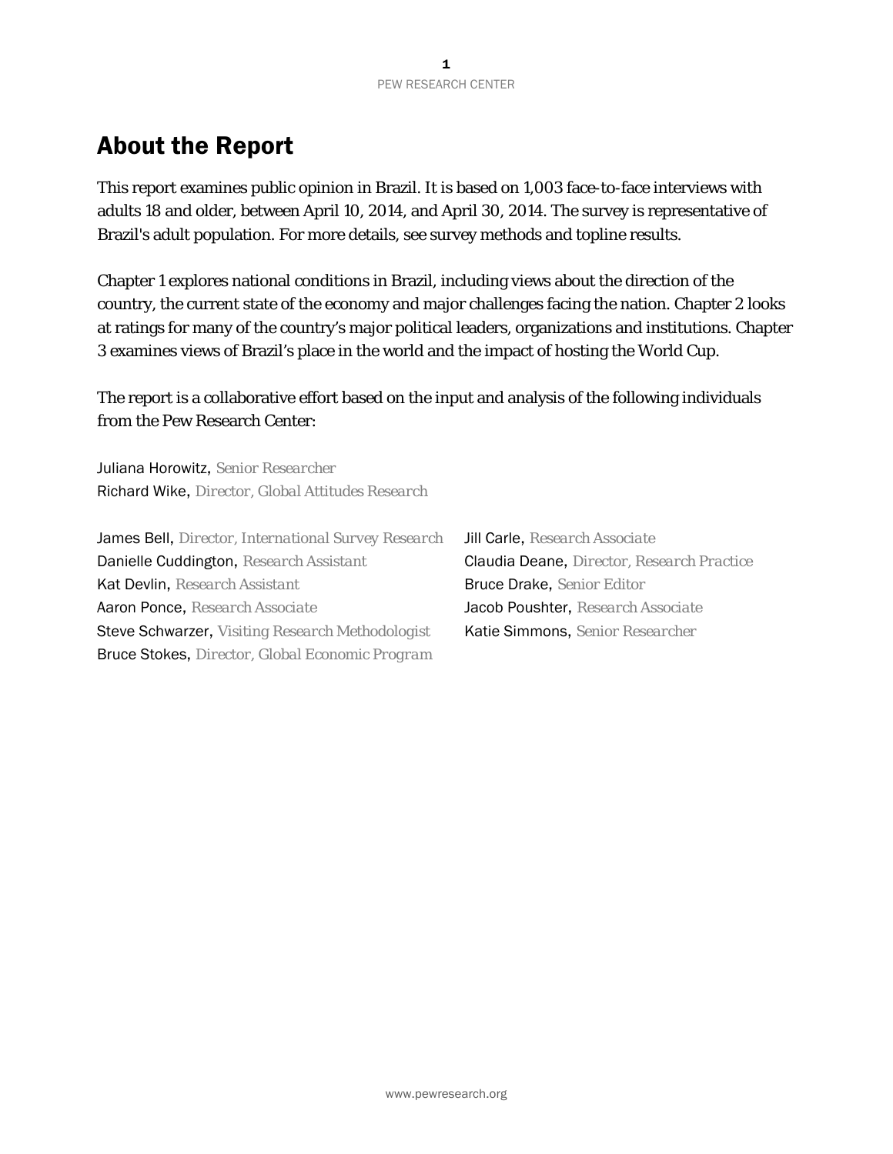### About the Report

This report examines public opinion in Brazil. It is based on 1,003 face-to-face interviews with adults 18 and older, between April 10, 2014, and April 30, 2014. The survey is representative of Brazil's adult population. For more details, see survey methods and topline results.

Chapter 1 explores national conditions in Brazil, including views about the direction of the country, the current state of the economy and major challenges facing the nation. Chapter 2 looks at ratings for many of the country's major political leaders, organizations and institutions. Chapter 3 examines views of Brazil's place in the world and the impact of hosting the World Cup.

The report is a collaborative effort based on the input and analysis of the following individuals from the Pew Research Center:

Juliana Horowitz, *Senior Researcher* Richard Wike, *Director, Global Attitudes Research*

James Bell, *Director, International Survey Research* Jill Carle, *Research Associate*  Danielle Cuddington, *Research Assistant* Claudia Deane, *Director, Research Practice*  Kat Devlin, *Research Assistant* Bruce Drake, *Senior Editor*  Aaron Ponce, *Research Associate* Jacob Poushter, *Research Associate*  Steve Schwarzer, *Visiting Research Methodologist* Katie Simmons, *Senior Researcher* Bruce Stokes, *Director, Global Economic Program*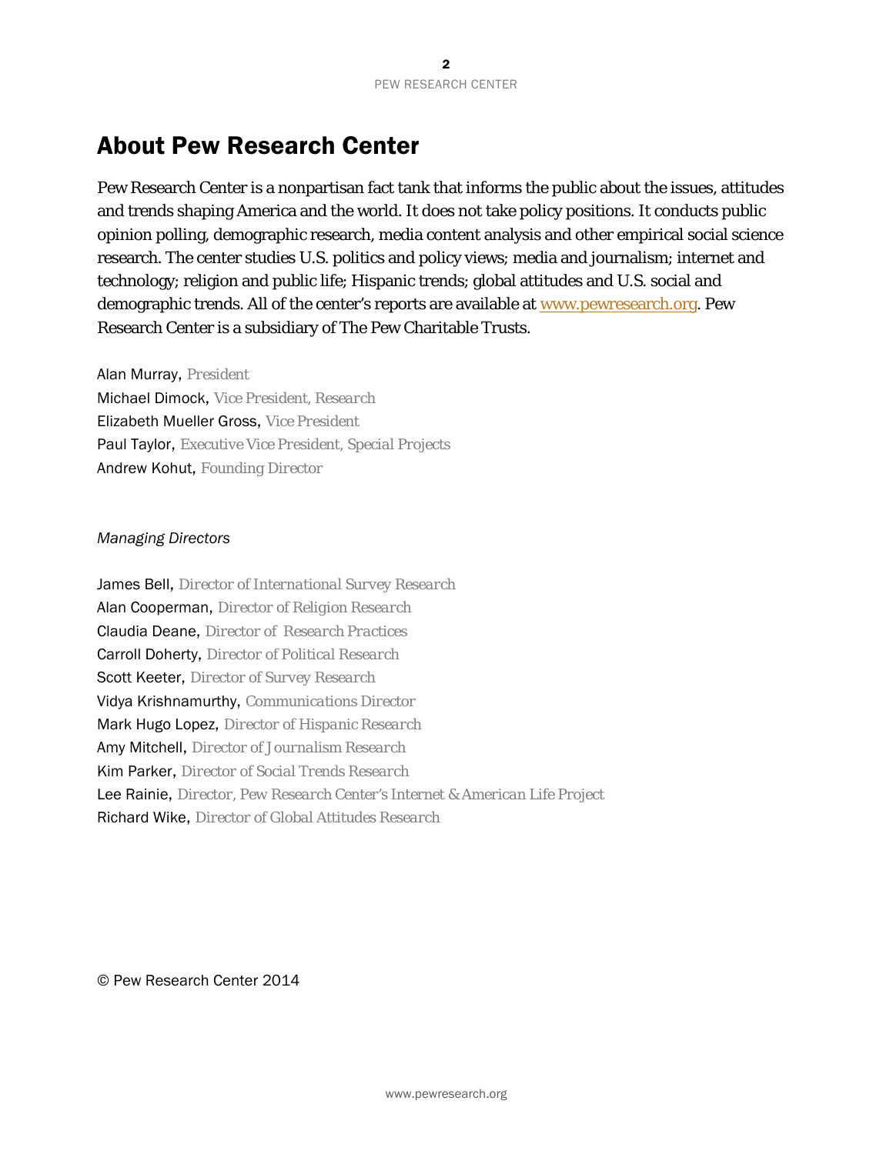### About Pew Research Center

Pew Research Center is a nonpartisan fact tank that informs the public about the issues, attitudes and trends shaping America and the world. It does not take policy positions. It conducts public opinion polling, demographic research, media content analysis and other empirical social science research. The center studies U.S. politics and policy views; media and journalism; internet and technology; religion and public life; Hispanic trends; global attitudes and U.S. social and demographic trends. All of the center's reports are available at www.pewresearch.org. Pew Research Center is a subsidiary of The Pew Charitable Trusts.

Alan Murray, *President* Michael Dimock, *Vice President, Research*  Elizabeth Mueller Gross, *Vice President*  Paul Taylor, *Executive Vice President, Special Projects* Andrew Kohut, *Founding Director* 

#### *Managing Directors*

James Bell, *Director of International Survey Research*  Alan Cooperman, *Director of Religion Research* Claudia Deane, *Director of Research Practices* Carroll Doherty, *Director of Political Research* Scott Keeter, *Director of Survey Research* Vidya Krishnamurthy, *Communications Director*  Mark Hugo Lopez, *Director of Hispanic Research*  Amy Mitchell, *Director of Journalism Research*  Kim Parker, *Director of Social Trends Research*  Lee Rainie, *Director, Pew Research Center's Internet & American Life Project* Richard Wike, *Director of Global Attitudes Research*

© Pew Research Center 2014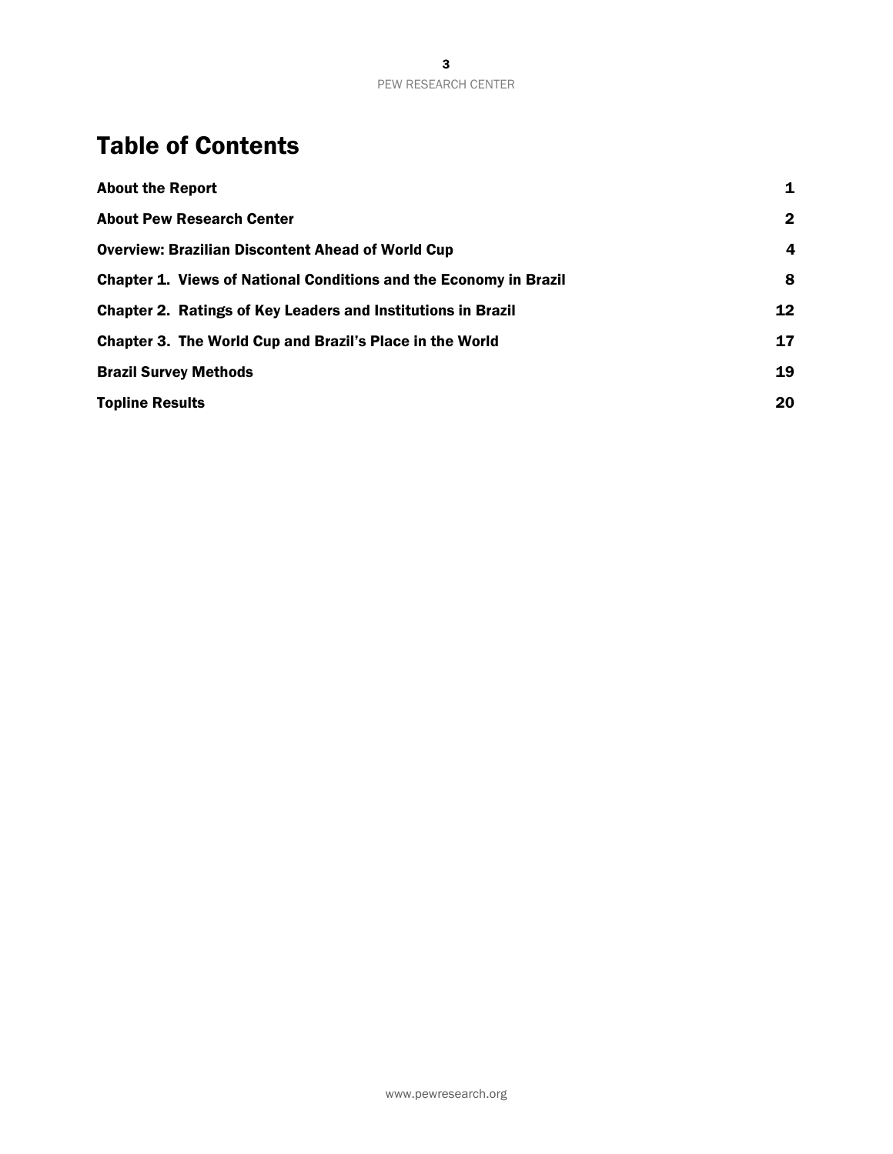### Table of Contents

| <b>About the Report</b>                                                  | 1            |
|--------------------------------------------------------------------------|--------------|
| <b>About Pew Research Center</b>                                         | $\mathbf{2}$ |
| <b>Overview: Brazilian Discontent Ahead of World Cup</b>                 | 4            |
| <b>Chapter 1. Views of National Conditions and the Economy in Brazil</b> | 8            |
| <b>Chapter 2. Ratings of Key Leaders and Institutions in Brazil</b>      | 12           |
| Chapter 3. The World Cup and Brazil's Place in the World                 | 17           |
| <b>Brazil Survey Methods</b>                                             | 19           |
| <b>Topline Results</b>                                                   | 20           |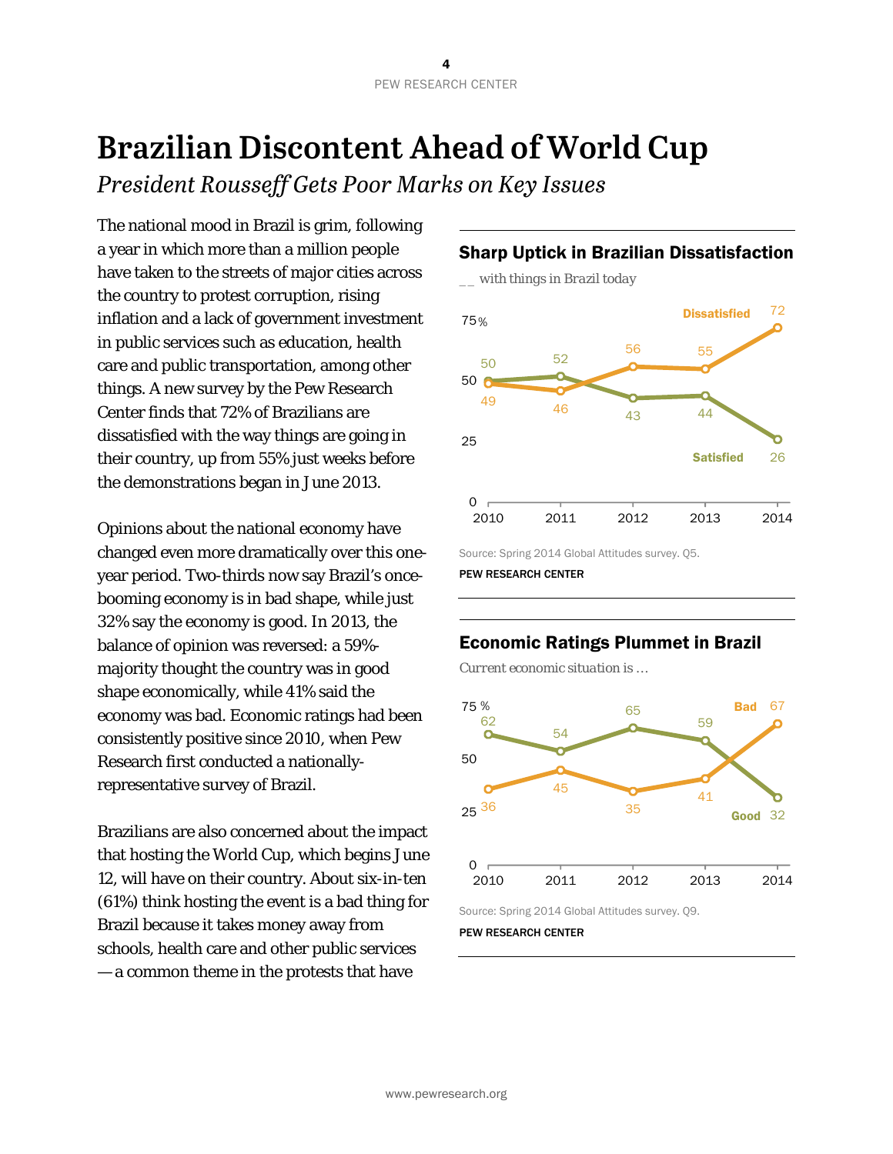## **Brazilian Discontent Ahead of World Cup**

*President Rousseff Gets Poor Marks on Key Issues* 

The national mood in Brazil is grim, following a year in which more than a million people have taken to the streets of major cities across the country to protest corruption, rising inflation and a lack of government investment in public services such as education, health care and public transportation, among other things. A new survey by the Pew Research Center finds that 72% of Brazilians are dissatisfied with the way things are going in their country, up from 55% just weeks before the demonstrations began in June 2013.

Opinions about the national economy have changed even more dramatically over this oneyear period. Two-thirds now say Brazil's oncebooming economy is in bad shape, while just 32% say the economy is good. In 2013, the balance of opinion was reversed: a 59% majority thought the country was in good shape economically, while 41% said the economy was bad. Economic ratings had been consistently positive since 2010, when Pew Research first conducted a nationallyrepresentative survey of Brazil.

Brazilians are also concerned about the impact that hosting the World Cup, which begins June 12, will have on their country. About six-in-ten (61%) think hosting the event is a bad thing for Brazil because it takes money away from schools, health care and other public services — a common theme in the protests that have



Source: Spring 2014 Global Attitudes survey. Q5.



PEW RESEARCH CENTER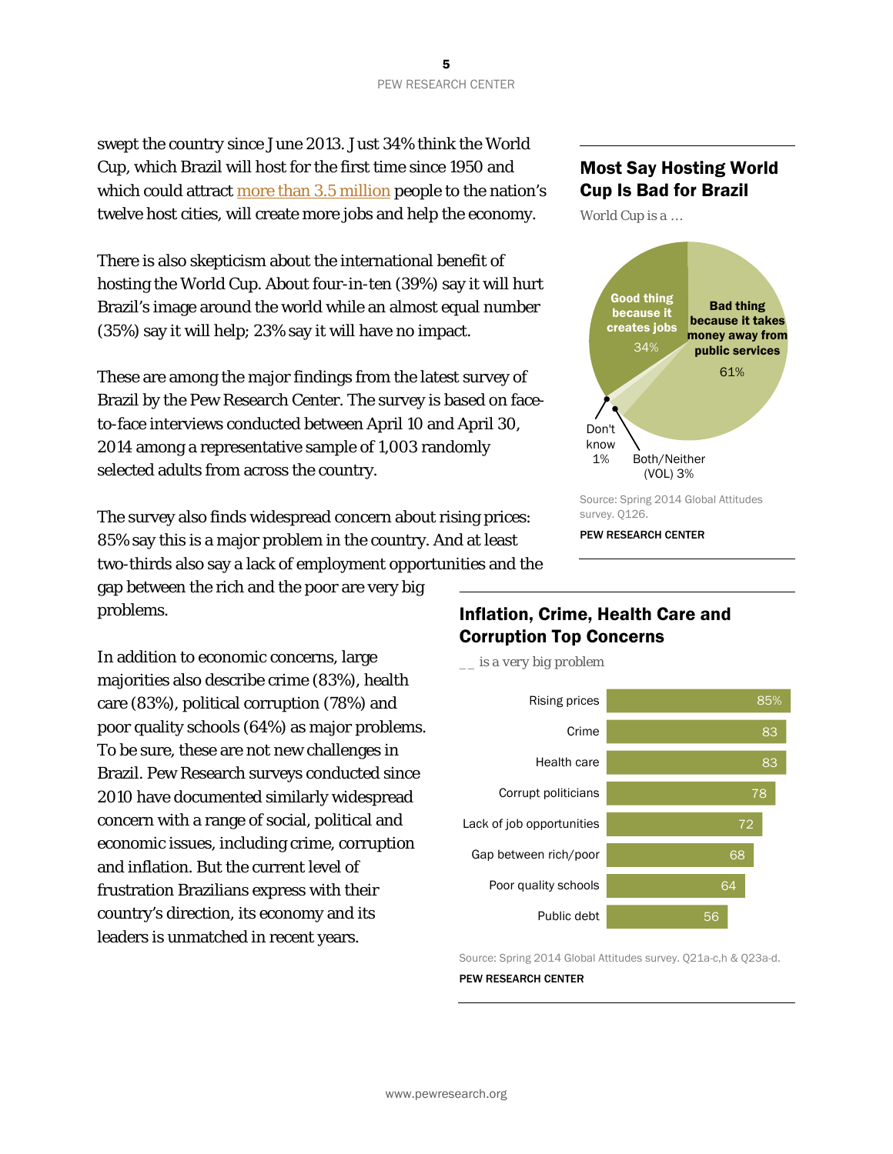swept the country since June 2013. Just 34% think the World Cup, which Brazil will host for the first time since 1950 and which could attract more than 3.5 million people to the nation's twelve host cities, will create more jobs and help the economy.

There is also skepticism about the international benefit of hosting the World Cup. About four-in-ten (39%) say it will hurt Brazil's image around the world while an almost equal number (35%) say it will help; 23% say it will have no impact.

These are among the major findings from the latest survey of Brazil by the Pew Research Center. The survey is based on faceto-face interviews conducted between April 10 and April 30, 2014 among a representative sample of 1,003 randomly selected adults from across the country.

The survey also finds widespread concern about rising prices: 85% say this is a major problem in the country. And at least two-thirds also say a lack of employment opportunities and the

gap between the rich and the poor are very big problems.

In addition to economic concerns, large majorities also describe crime (83%), health care (83%), political corruption (78%) and poor quality schools (64%) as major problems. To be sure, these are not new challenges in Brazil. Pew Research surveys conducted since 2010 have documented similarly widespread concern with a range of social, political and economic issues, including crime, corruption and inflation. But the current level of frustration Brazilians express with their country's direction, its economy and its leaders is unmatched in recent years.

#### Most Say Hosting World Cup Is Bad for Brazil

*World Cup is a …* 



#### Inflation, Crime, Health Care and Corruption Top Concerns

*\_\_ is a very big problem* 



Source: Spring 2014 Global Attitudes survey. Q21a-c,h & Q23a-d. PEW RESEARCH CENTER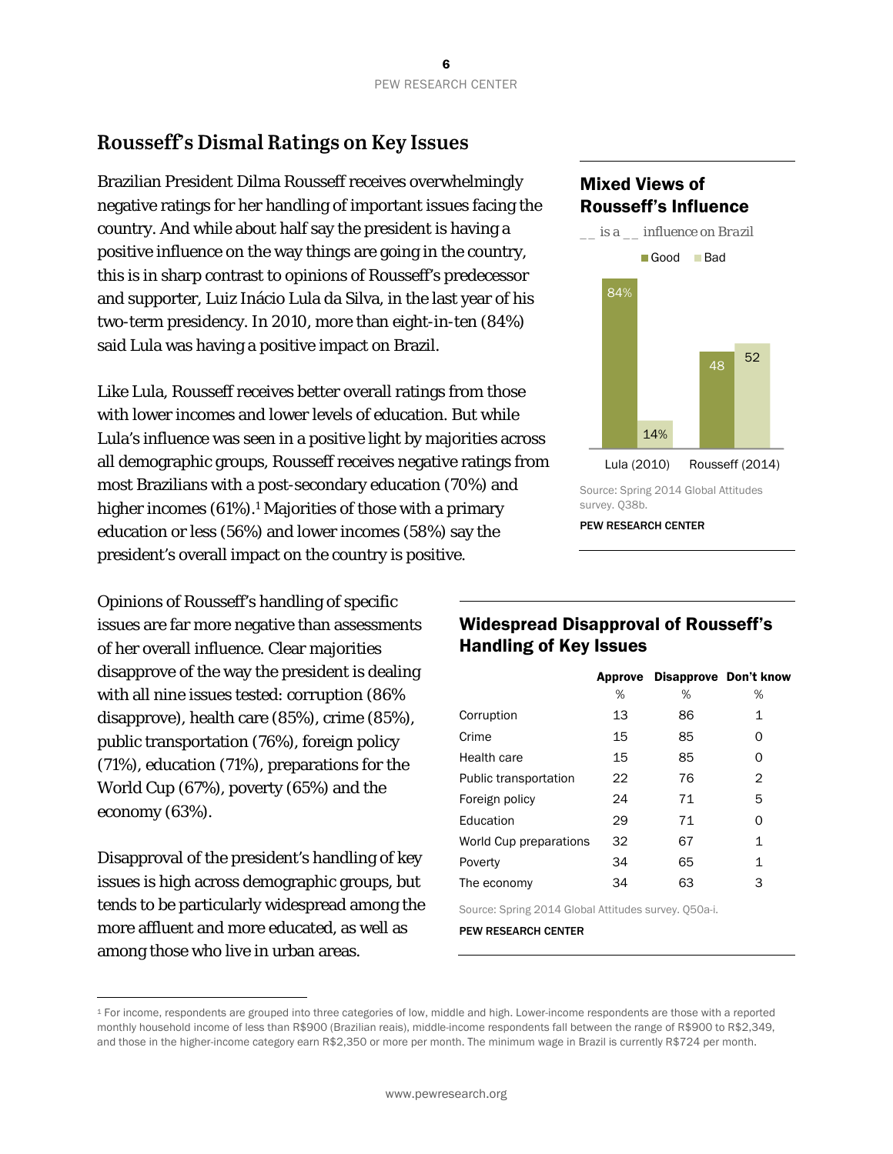### **Rousseff's Dismal Ratings on Key Issues**

Brazilian President Dilma Rousseff receives overwhelmingly negative ratings for her handling of important issues facing the country. And while about half say the president is having a positive influence on the way things are going in the country, this is in sharp contrast to opinions of Rousseff's predecessor and supporter, Luiz Inácio Lula da Silva, in the last year of his two-term presidency. In 2010, more than eight-in-ten (84%) said Lula was having a positive impact on Brazil.

Like Lula, Rousseff receives better overall ratings from those with lower incomes and lower levels of education. But while Lula's influence was seen in a positive light by majorities across all demographic groups, Rousseff receives negative ratings from most Brazilians with a post-secondary education (70%) and higher incomes (61%).<sup>1</sup> Majorities of those with a primary education or less (56%) and lower incomes (58%) say the president's overall impact on the country is positive.

Opinions of Rousseff's handling of specific issues are far more negative than assessments of her overall influence. Clear majorities disapprove of the way the president is dealing with all nine issues tested: corruption (86% disapprove), health care (85%), crime (85%), public transportation (76%), foreign policy (71%), education (71%), preparations for the World Cup (67%), poverty (65%) and the economy (63%).

Disapproval of the president's handling of key issues is high across demographic groups, but tends to be particularly widespread among the more affluent and more educated, as well as among those who live in urban areas.

 $\overline{a}$ 

### Mixed Views of Rousseff's Influence



#### Widespread Disapproval of Rousseff's Handling of Key Issues

|                              |    | Approve Disapprove Don't know |   |
|------------------------------|----|-------------------------------|---|
|                              | %  | %                             | % |
| Corruption                   | 13 | 86                            | 1 |
| Crime                        | 15 | 85                            | 0 |
| Health care                  | 15 | 85                            | 0 |
| <b>Public transportation</b> | 22 | 76                            | 2 |
| Foreign policy               | 24 | 71                            | 5 |
| Education                    | 29 | 71                            | 0 |
| World Cup preparations       | 32 | 67                            | 1 |
| Poverty                      | 34 | 65                            | 1 |
| The economy                  | 34 | 63                            | 3 |
|                              |    |                               |   |

Source: Spring 2014 Global Attitudes survey. Q50a-i.

<sup>1</sup> For income, respondents are grouped into three categories of low, middle and high. Lower-income respondents are those with a reported monthly household income of less than R\$900 (Brazilian reais), middle-income respondents fall between the range of R\$900 to R\$2,349, and those in the higher-income category earn R\$2,350 or more per month. The minimum wage in Brazil is currently R\$724 per month.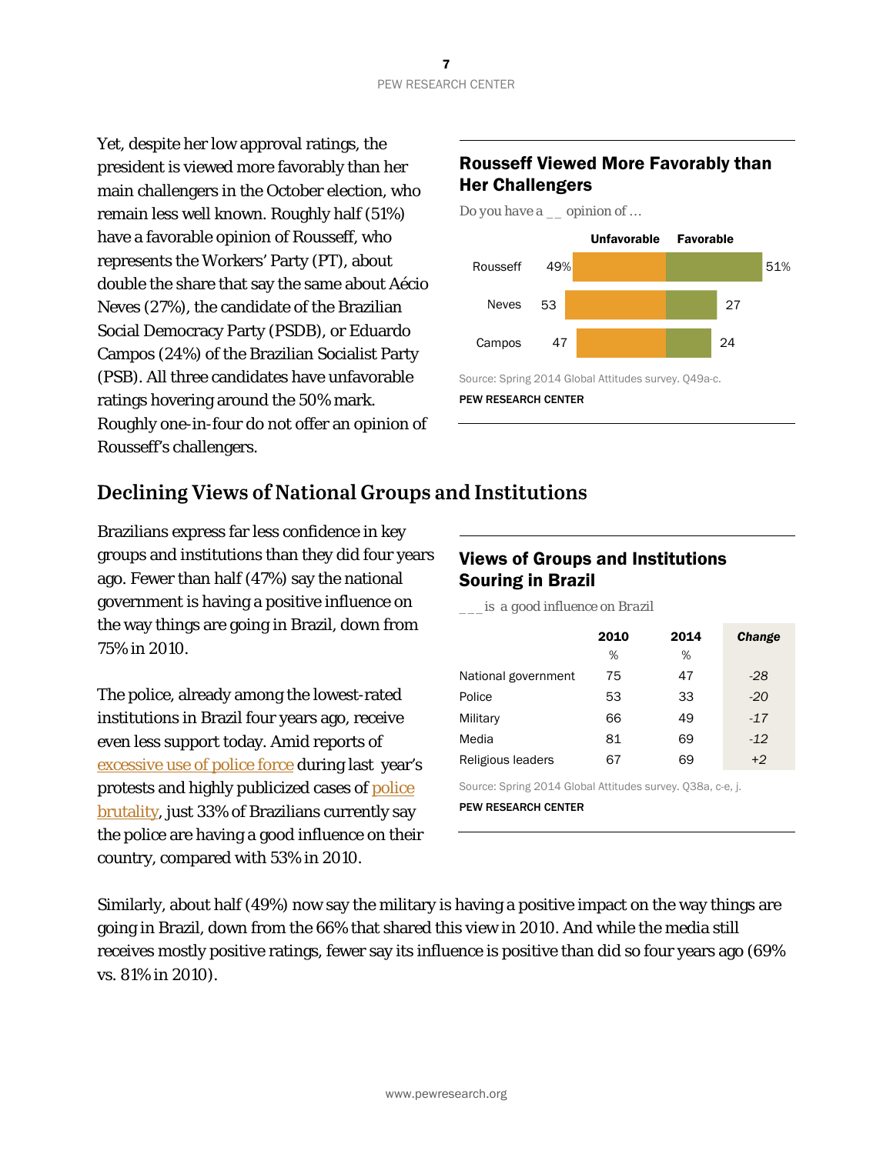Yet, despite her low approval ratings, the president is viewed more favorably than her main challengers in the October election, who remain less well known. Roughly half (51%) have a favorable opinion of Rousseff, who represents the Workers' Party (PT), about double the share that say the same about Aécio Neves (27%), the candidate of the Brazilian Social Democracy Party (PSDB), or Eduardo Campos (24%) of the Brazilian Socialist Party (PSB). All three candidates have unfavorable ratings hovering around the 50% mark. Roughly one-in-four do not offer an opinion of Rousseff's challengers.

#### Rousseff Viewed More Favorably than Her Challengers

*Do you have a \_\_ opinion of …* 



PEW RESEARCH CENTER

### **Declining Views of National Groups and Institutions**

Brazilians express far less confidence in key groups and institutions than they did four years ago. Fewer than half (47%) say the national government is having a positive influence on the way things are going in Brazil, down from 75% in 2010.

The police, already among the lowest-rated institutions in Brazil four years ago, receive even less support today. Amid reports of excessive use of police force during last year's protests and highly publicized cases of police brutality, just 33% of Brazilians currently say the police are having a good influence on their country, compared with 53% in 2010.

#### Views of Groups and Institutions Souring in Brazil

*\_\_\_is a good influence on Brazil* 

|                     | 2010<br>% | 2014<br>% | <b>Change</b> |
|---------------------|-----------|-----------|---------------|
| National government | 75        | 47        | $-28$         |
| Police              | 53        | 33        | $-20$         |
| Military            | 66        | 49        | $-17$         |
| Media               | 81        | 69        | $-12$         |
| Religious leaders   | 67        | 69        | $+2$          |

Source: Spring 2014 Global Attitudes survey. Q38a, c-e, j.

PEW RESEARCH CENTER

Similarly, about half (49%) now say the military is having a positive impact on the way things are going in Brazil, down from the 66% that shared this view in 2010. And while the media still receives mostly positive ratings, fewer say its influence is positive than did so four years ago (69% vs. 81% in 2010).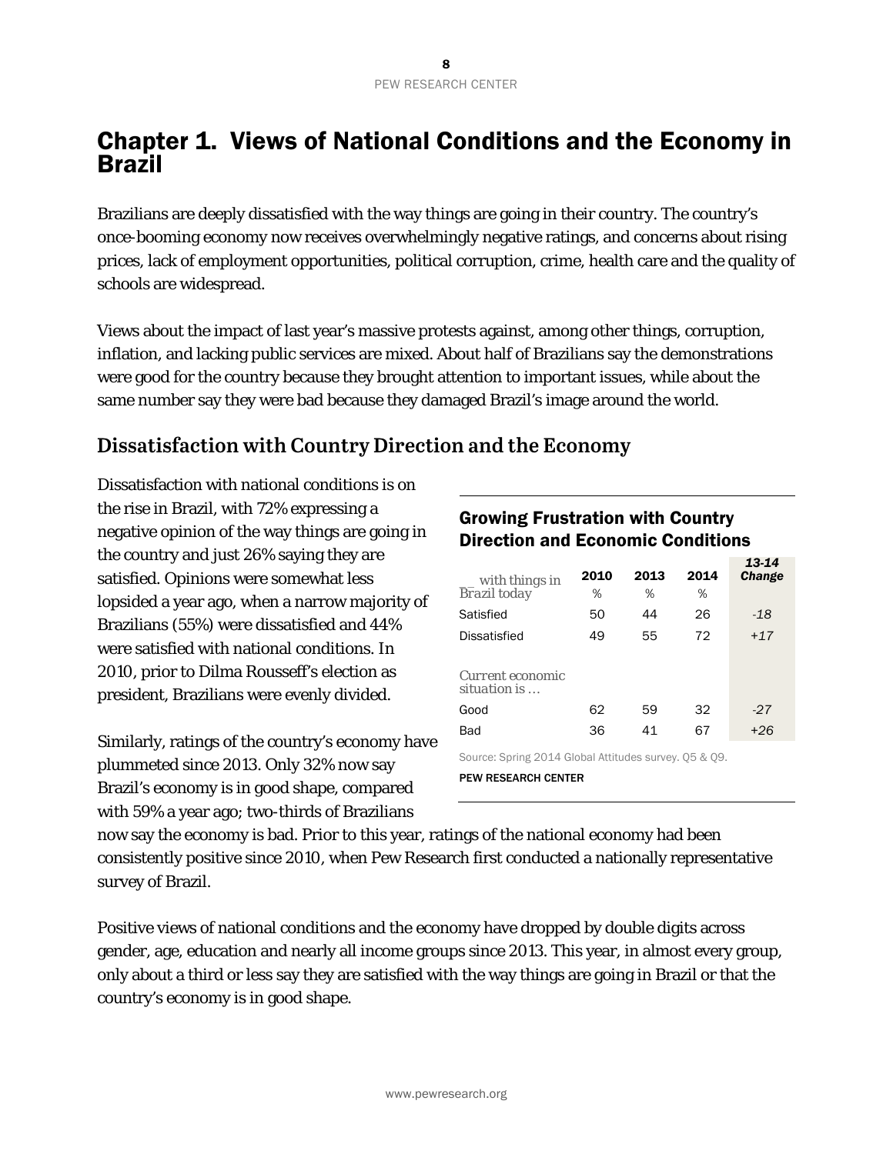### Chapter 1. Views of National Conditions and the Economy in Brazil

Brazilians are deeply dissatisfied with the way things are going in their country. The country's once-booming economy now receives overwhelmingly negative ratings, and concerns about rising prices, lack of employment opportunities, political corruption, crime, health care and the quality of schools are widespread.

Views about the impact of last year's massive protests against, among other things, corruption, inflation, and lacking public services are mixed. About half of Brazilians say the demonstrations were good for the country because they brought attention to important issues, while about the same number say they were bad because they damaged Brazil's image around the world.

### **Dissatisfaction with Country Direction and the Economy**

Dissatisfaction with national conditions is on the rise in Brazil, with 72% expressing a negative opinion of the way things are going in the country and just 26% saying they are satisfied. Opinions were somewhat less lopsided a year ago, when a narrow majority of Brazilians (55%) were dissatisfied and 44% were satisfied with national conditions. In 2010, prior to Dilma Rousseff's election as president, Brazilians were evenly divided.

Similarly, ratings of the country's economy have plummeted since 2013. Only 32% now say Brazil's economy is in good shape, compared with 59% a year ago; two-thirds of Brazilians

#### Growing Frustration with Country Direction and Economic Conditions

| with things in                   | 2010 | 2013 | 2014 | 13-14<br><b>Change</b> |
|----------------------------------|------|------|------|------------------------|
| <b>Brazil</b> today              | %    | %    | %    |                        |
| Satisfied                        | 50   | 44   | 26   | -18                    |
| Dissatisfied                     | 49   | 55   | 72   | $+17$                  |
| Current economic<br>situation is |      |      |      |                        |
| Good                             | 62   | 59   | 32   | -27                    |
| Bad                              | 36   | 41   | 67   | $+26$                  |

*13-14*

Source: Spring 2014 Global Attitudes survey. Q5 & Q9. PEW RESEARCH CENTER

now say the economy is bad. Prior to this year, ratings of the national economy had been consistently positive since 2010, when Pew Research first conducted a nationally representative survey of Brazil.

Positive views of national conditions and the economy have dropped by double digits across gender, age, education and nearly all income groups since 2013. This year, in almost every group, only about a third or less say they are satisfied with the way things are going in Brazil or that the country's economy is in good shape.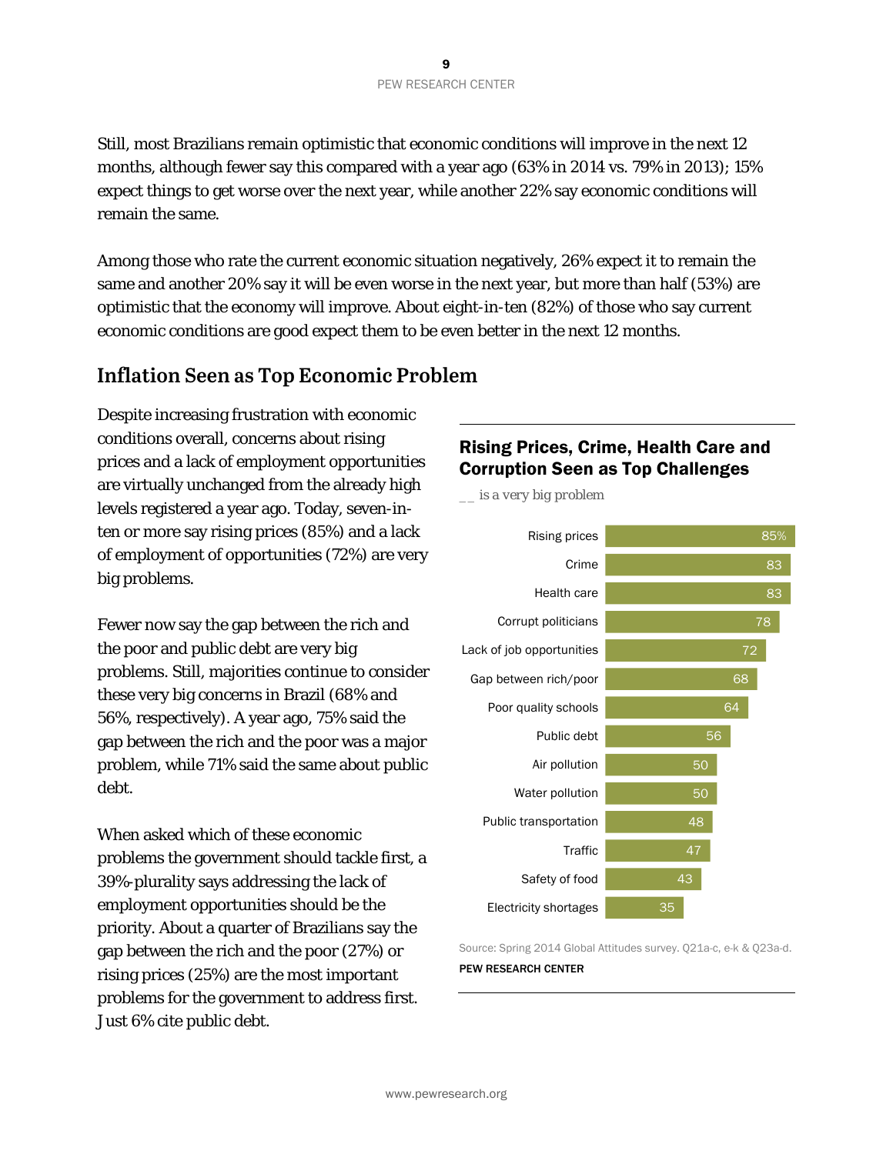Still, most Brazilians remain optimistic that economic conditions will improve in the next 12 months, although fewer say this compared with a year ago (63% in 2014 vs. 79% in 2013); 15% expect things to get worse over the next year, while another 22% say economic conditions will remain the same.

Among those who rate the current economic situation negatively, 26% expect it to remain the same and another 20% say it will be even worse in the next year, but more than half (53%) are optimistic that the economy will improve. About eight-in-ten (82%) of those who say current economic conditions are good expect them to be even better in the next 12 months.

#### **Inflation Seen as Top Economic Problem**

Despite increasing frustration with economic conditions overall, concerns about rising prices and a lack of employment opportunities are virtually unchanged from the already high levels registered a year ago. Today, seven-inten or more say rising prices (85%) and a lack of employment of opportunities (72%) are very big problems.

Fewer now say the gap between the rich and the poor and public debt are very big problems. Still, majorities continue to consider these very big concerns in Brazil (68% and 56%, respectively). A year ago, 75% said the gap between the rich and the poor was a major problem, while 71% said the same about public debt.

When asked which of these economic problems the government should tackle first, a 39%-plurality says addressing the lack of employment opportunities should be the priority. About a quarter of Brazilians say the gap between the rich and the poor (27%) or rising prices (25%) are the most important problems for the government to address first. Just 6% cite public debt.

#### Rising Prices, Crime, Health Care and Corruption Seen as Top Challenges

85% 83 83 78 72 68 64 50 48 47 43 35 Rising prices Crime Health care Corrupt politicians Lack of job opportunities Gap between rich/poor Poor quality schools Public debt Air pollution Water pollution Public transportation **Traffic** Safety of food Electricity shortages *\_\_ is a very big problem* 

Source: Spring 2014 Global Attitudes survey. Q21a-c, e-k & Q23a-d. PEW RESEARCH CENTER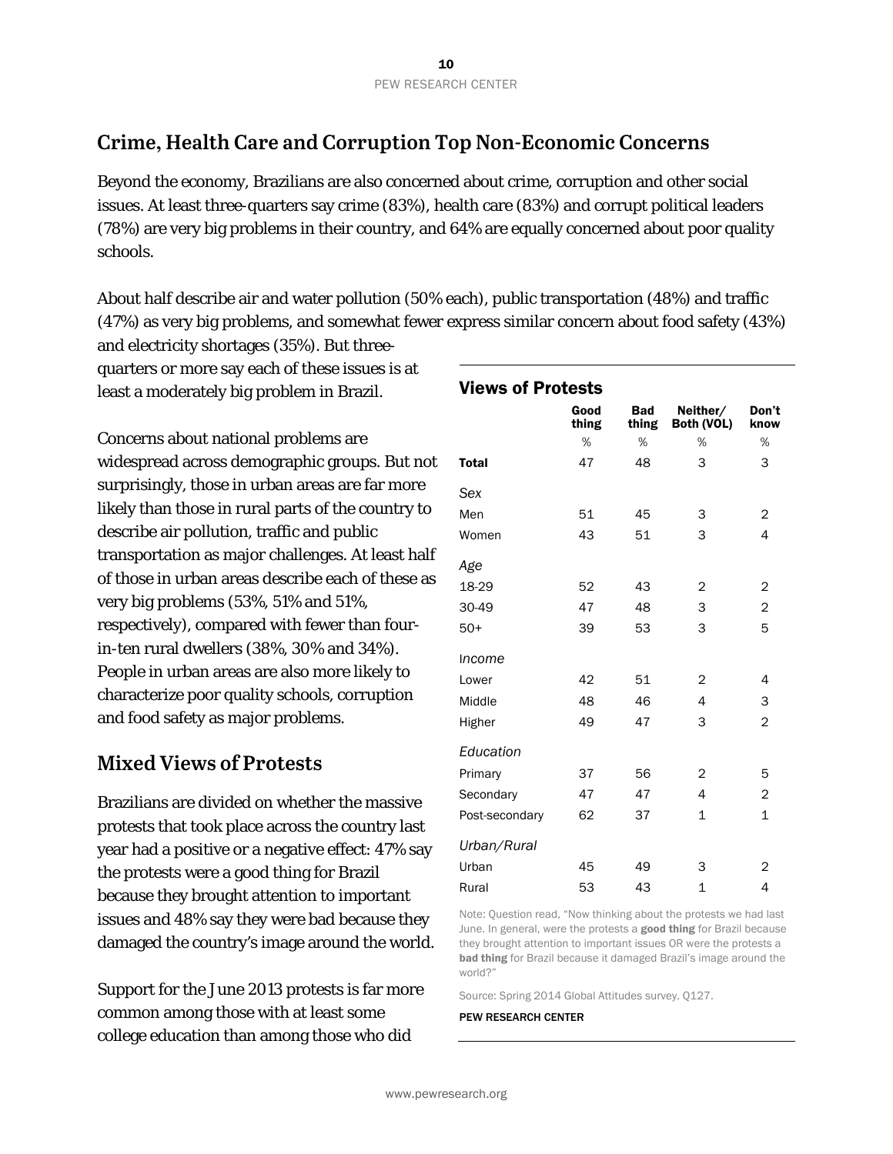### **Crime, Health Care and Corruption Top Non-Economic Concerns**

Beyond the economy, Brazilians are also concerned about crime, corruption and other social issues. At least three-quarters say crime (83%), health care (83%) and corrupt political leaders (78%) are very big problems in their country, and 64% are equally concerned about poor quality schools.

About half describe air and water pollution (50% each), public transportation (48%) and traffic (47%) as very big problems, and somewhat fewer express similar concern about food safety (43%)

and electricity shortages (35%). But threequarters or more say each of these issues is at least a moderately big problem in Brazil.

Concerns about national problems are widespread across demographic groups. But not surprisingly, those in urban areas are far more likely than those in rural parts of the country to describe air pollution, traffic and public transportation as major challenges. At least half of those in urban areas describe each of these as very big problems (53%, 51% and 51%, respectively), compared with fewer than fourin-ten rural dwellers (38%, 30% and 34%). People in urban areas are also more likely to characterize poor quality schools, corruption and food safety as major problems.

### **Mixed Views of Protests**

Brazilians are divided on whether the massive protests that took place across the country last year had a positive or a negative effect: 47% say the protests were a good thing for Brazil because they brought attention to important issues and 48% say they were bad because they damaged the country's image around the world.

Support for the June 2013 protests is far more common among those with at least some college education than among those who did

| <b>Views of Protests</b> |               |                            |                        |               |  |  |  |  |  |
|--------------------------|---------------|----------------------------|------------------------|---------------|--|--|--|--|--|
|                          | Good<br>thing | <b>Bad</b><br><b>thing</b> | Neither/<br>Both (VOL) | Don't<br>know |  |  |  |  |  |
|                          | %             | %                          | %                      | %             |  |  |  |  |  |
| <b>Total</b>             | 47            | 48                         | 3                      | 3             |  |  |  |  |  |
| Sex                      |               |                            |                        |               |  |  |  |  |  |
| Men                      | 51            | 45                         | 3                      | 2             |  |  |  |  |  |
| Women                    | 43            | 51                         | 3                      | 4             |  |  |  |  |  |
| Age                      |               |                            |                        |               |  |  |  |  |  |
| 18-29                    | 52            | 43                         | 2                      | 2             |  |  |  |  |  |
| 30-49                    | 47            | 48                         | 3                      | 2             |  |  |  |  |  |
| $50+$                    | 39            | 53                         | 3                      | 5             |  |  |  |  |  |
| Income                   |               |                            |                        |               |  |  |  |  |  |
| Lower                    | 42            | 51                         | 2                      | 4             |  |  |  |  |  |
| Middle                   | 48            | 46                         | 4                      | 3             |  |  |  |  |  |
| Higher                   | 49            | 47                         | 3                      | 2             |  |  |  |  |  |
| Education                |               |                            |                        |               |  |  |  |  |  |
| Primary                  | 37            | 56                         | 2                      | 5             |  |  |  |  |  |
| Secondary                | 47            | 47                         | 4                      | 2             |  |  |  |  |  |
| Post-secondary           | 62            | 37                         | $\mathbf 1$            | $\mathbf{1}$  |  |  |  |  |  |
| Urban/Rural              |               |                            |                        |               |  |  |  |  |  |
| Urban                    | 45            | 49                         | 3                      | 2             |  |  |  |  |  |
| Rural                    | 53            | 43                         | 1                      | 4             |  |  |  |  |  |

Note: Question read, "Now thinking about the protests we had last June. In general, were the protests a good thing for Brazil because they brought attention to important issues OR were the protests a bad thing for Brazil because it damaged Brazil's image around the world?"

Source: Spring 2014 Global Attitudes survey. Q127.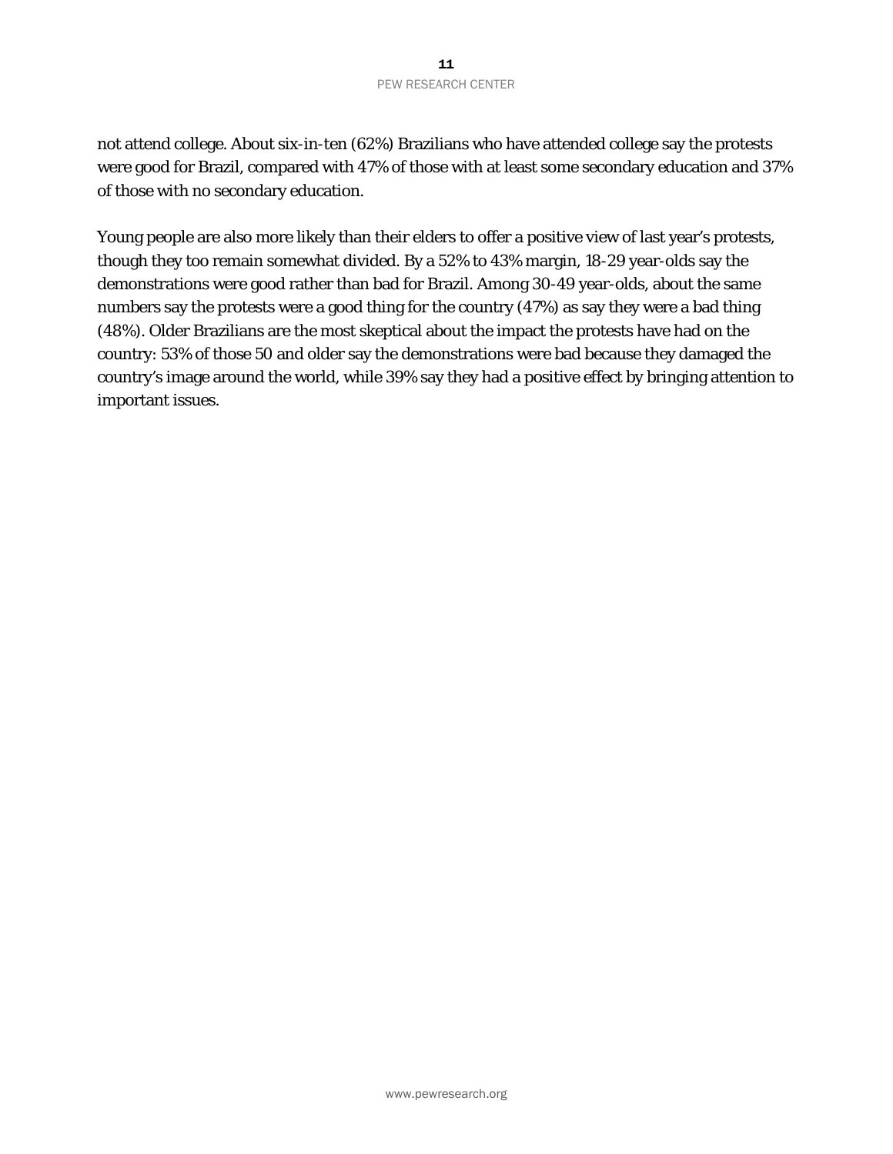not attend college. About six-in-ten (62%) Brazilians who have attended college say the protests were good for Brazil, compared with 47% of those with at least some secondary education and 37% of those with no secondary education.

Young people are also more likely than their elders to offer a positive view of last year's protests, though they too remain somewhat divided. By a 52% to 43% margin, 18-29 year-olds say the demonstrations were good rather than bad for Brazil. Among 30-49 year-olds, about the same numbers say the protests were a good thing for the country (47%) as say they were a bad thing (48%). Older Brazilians are the most skeptical about the impact the protests have had on the country: 53% of those 50 and older say the demonstrations were bad because they damaged the country's image around the world, while 39% say they had a positive effect by bringing attention to important issues.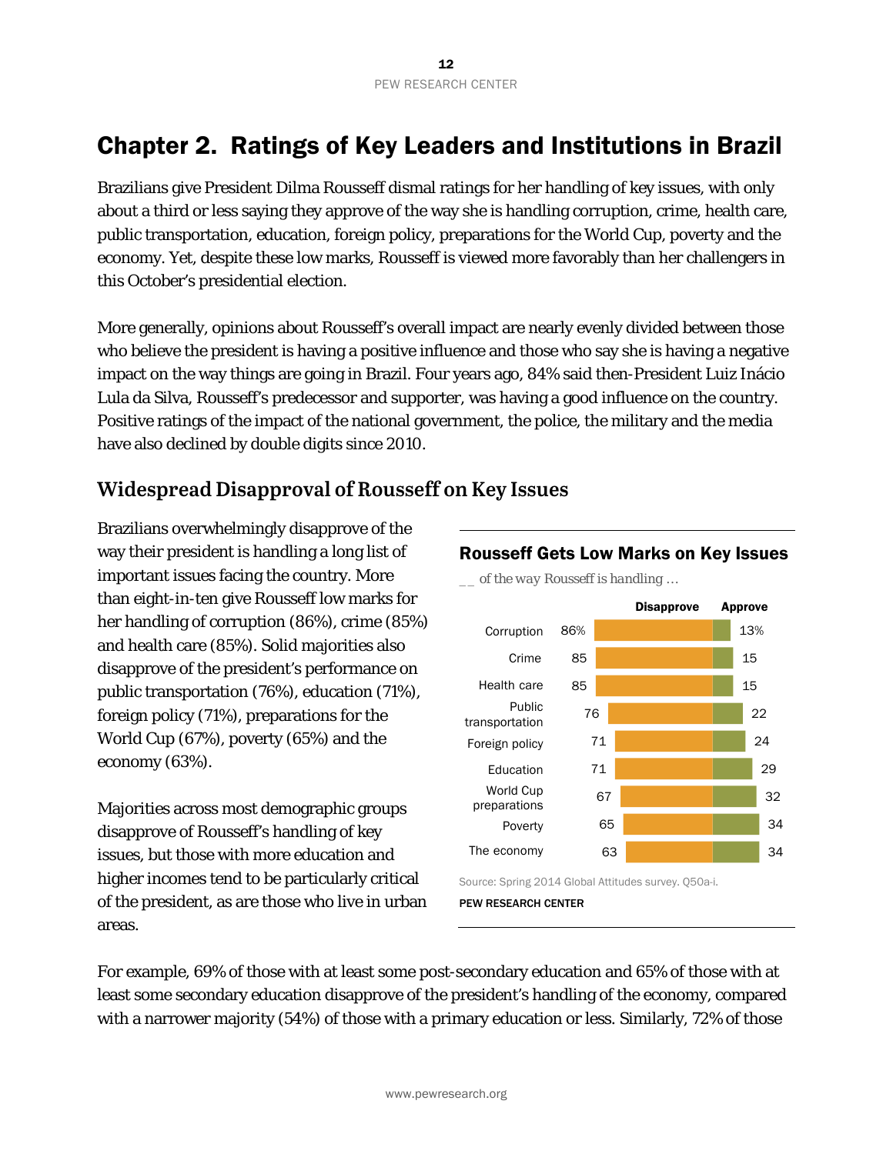### Chapter 2. Ratings of Key Leaders and Institutions in Brazil

Brazilians give President Dilma Rousseff dismal ratings for her handling of key issues, with only about a third or less saying they approve of the way she is handling corruption, crime, health care, public transportation, education, foreign policy, preparations for the World Cup, poverty and the economy. Yet, despite these low marks, Rousseff is viewed more favorably than her challengers in this October's presidential election.

More generally, opinions about Rousseff's overall impact are nearly evenly divided between those who believe the president is having a positive influence and those who say she is having a negative impact on the way things are going in Brazil. Four years ago, 84% said then-President Luiz Inácio Lula da Silva, Rousseff's predecessor and supporter, was having a good influence on the country. Positive ratings of the impact of the national government, the police, the military and the media have also declined by double digits since 2010.

### **Widespread Disapproval of Rousseff on Key Issues**

Brazilians overwhelmingly disapprove of the way their president is handling a long list of important issues facing the country. More than eight-in-ten give Rousseff low marks for her handling of corruption (86%), crime (85%) and health care (85%). Solid majorities also disapprove of the president's performance on public transportation (76%), education (71%), foreign policy (71%), preparations for the World Cup (67%), poverty (65%) and the economy (63%).

Majorities across most demographic groups disapprove of Rousseff's handling of key issues, but those with more education and higher incomes tend to be particularly critical of the president, as are those who live in urban areas.



*\_\_ of the way Rousseff is handling …* 



Source: Spring 2014 Global Attitudes survey. Q50a-i.

For example, 69% of those with at least some post-secondary education and 65% of those with at least some secondary education disapprove of the president's handling of the economy, compared with a narrower majority (54%) of those with a primary education or less. Similarly, 72% of those

PEW RESEARCH CENTER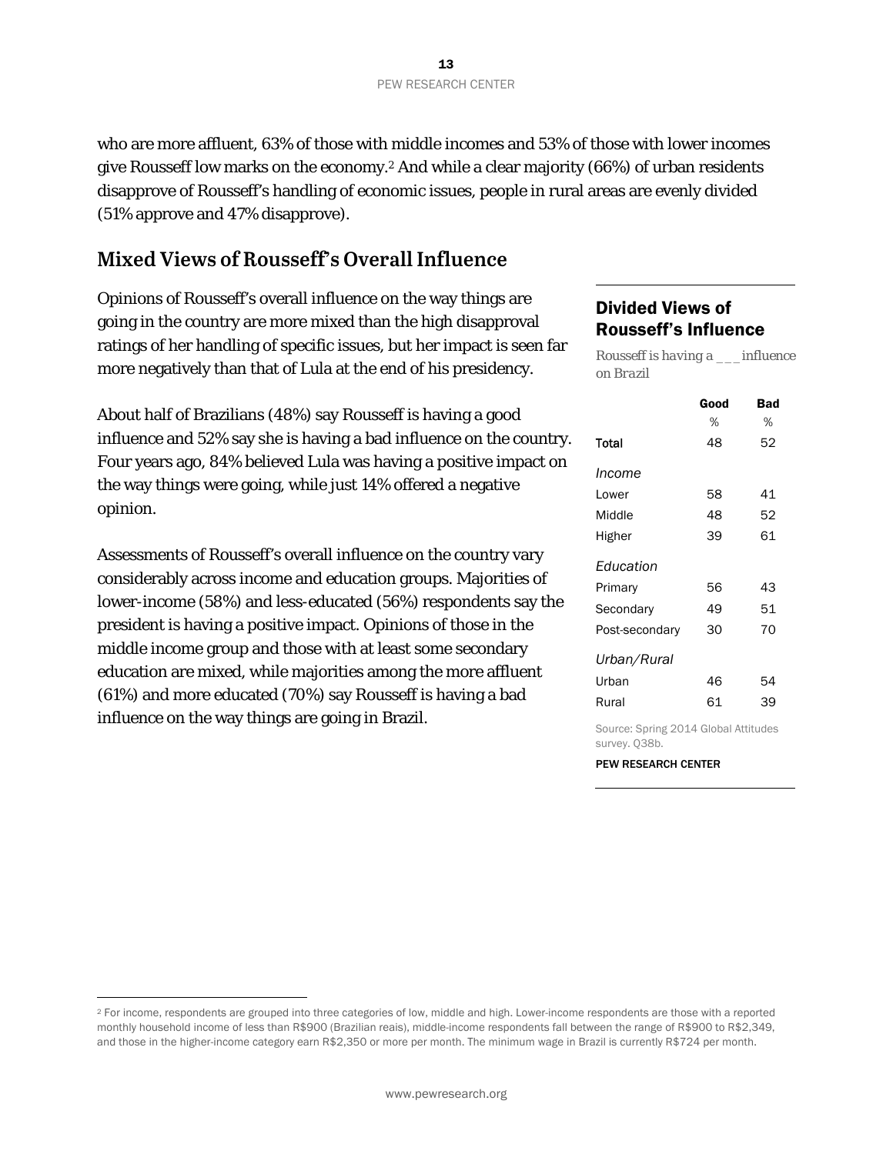who are more affluent, 63% of those with middle incomes and 53% of those with lower incomes give Rousseff low marks on the economy.2 And while a clear majority (66%) of urban residents disapprove of Rousseff's handling of economic issues, people in rural areas are evenly divided (51% approve and 47% disapprove).

### **Mixed Views of Rousseff's Overall Influence**

Opinions of Rousseff's overall influence on the way things are going in the country are more mixed than the high disapproval ratings of her handling of specific issues, but her impact is seen far more negatively than that of Lula at the end of his presidency.

About half of Brazilians (48%) say Rousseff is having a good influence and 52% say she is having a bad influence on the country. Four years ago, 84% believed Lula was having a positive impact on the way things were going, while just 14% offered a negative opinion.

Assessments of Rousseff's overall influence on the country vary considerably across income and education groups. Majorities of lower-income (58%) and less-educated (56%) respondents say the president is having a positive impact. Opinions of those in the middle income group and those with at least some secondary education are mixed, while majorities among the more affluent (61%) and more educated (70%) say Rousseff is having a bad influence on the way things are going in Brazil.

 $\overline{a}$ 

#### Divided Views of Rousseff's Influence

*on Brazil* 

*Rousseff is having a \_\_\_influence* 

|                                      | Good | <b>Bad</b> |
|--------------------------------------|------|------------|
|                                      | %    | %          |
| Total                                | 48   | 52         |
| Income                               |      |            |
| Lower                                | 58   | 41         |
| Middle                               | 48   | 52         |
| Higher                               | 39   | 61         |
| Education                            |      |            |
| Primary                              | 56   | 43         |
| Secondary                            | 49   | 51         |
| Post-secondary                       | 30   | 70         |
| Urban/Rural                          |      |            |
| Urban                                | 46   | 54         |
| Rural                                | 61   | 39         |
| Source: Spring 2014 Global Attitudes |      |            |

survey. Q38b.

<sup>2</sup> For income, respondents are grouped into three categories of low, middle and high. Lower-income respondents are those with a reported monthly household income of less than R\$900 (Brazilian reais), middle-income respondents fall between the range of R\$900 to R\$2,349, and those in the higher-income category earn R\$2,350 or more per month. The minimum wage in Brazil is currently R\$724 per month.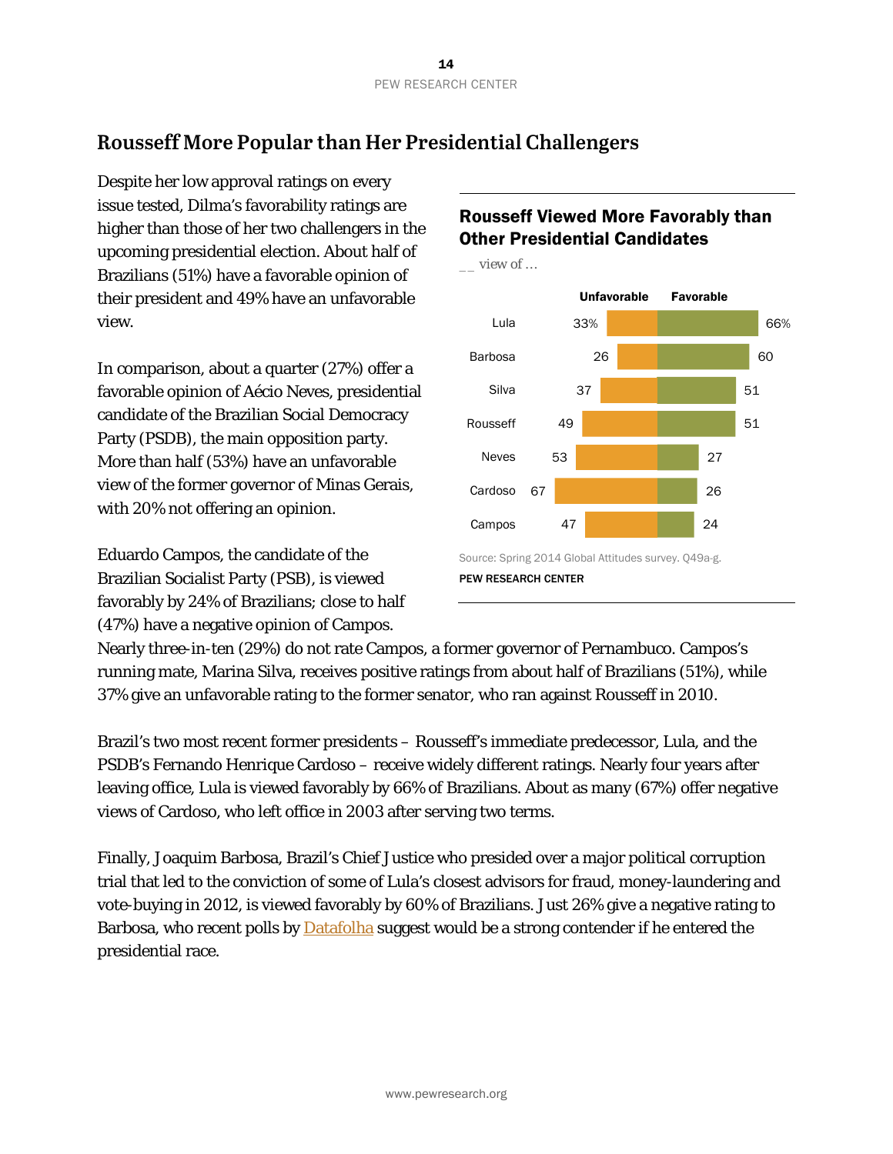### **Rousseff More Popular than Her Presidential Challengers**

Despite her low approval ratings on every issue tested, Dilma's favorability ratings are higher than those of her two challengers in the upcoming presidential election. About half of Brazilians (51%) have a favorable opinion of their president and 49% have an unfavorable view.

In comparison, about a quarter (27%) offer a favorable opinion of Aécio Neves, presidential candidate of the Brazilian Social Democracy Party (PSDB), the main opposition party. More than half (53%) have an unfavorable view of the former governor of Minas Gerais, with 20% not offering an opinion.

Eduardo Campos, the candidate of the Brazilian Socialist Party (PSB), is viewed favorably by 24% of Brazilians; close to half (47%) have a negative opinion of Campos.

### Rousseff Viewed More Favorably than Other Presidential Candidates



Nearly three-in-ten (29%) do not rate Campos, a former governor of Pernambuco. Campos's running mate, Marina Silva, receives positive ratings from about half of Brazilians (51%), while 37% give an unfavorable rating to the former senator, who ran against Rousseff in 2010.

Brazil's two most recent former presidents – Rousseff's immediate predecessor, Lula, and the PSDB's Fernando Henrique Cardoso – receive widely different ratings. Nearly four years after leaving office, Lula is viewed favorably by 66% of Brazilians. About as many (67%) offer negative views of Cardoso, who left office in 2003 after serving two terms.

Finally, Joaquim Barbosa, Brazil's Chief Justice who presided over a major political corruption trial that led to the conviction of some of Lula's closest advisors for fraud, money-laundering and vote-buying in 2012, is viewed favorably by 60% of Brazilians. Just 26% give a negative rating to Barbosa, who recent polls by **Datafolha** suggest would be a strong contender if he entered the presidential race.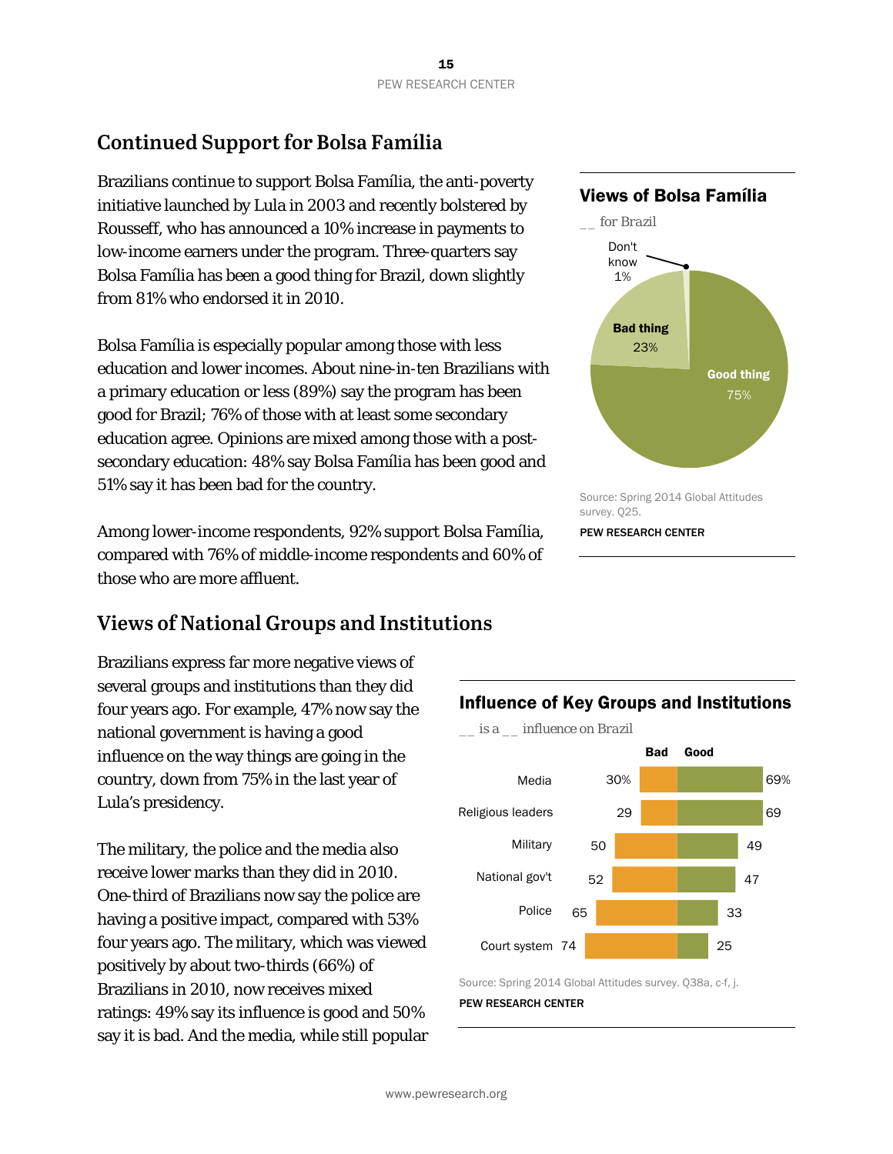### **Continued Support for Bolsa Família**

Brazilians continue to support Bolsa Família, the anti-poverty initiative launched by Lula in 2003 and recently bolstered by Rousseff, who has announced a 10% increase in payments to low-income earners under the program. Three-quarters say Bolsa Família has been a good thing for Brazil, down slightly from 81% who endorsed it in 2010.

Bolsa Família is especially popular among those with less education and lower incomes. About nine-in-ten Brazilians with a primary education or less (89%) say the program has been good for Brazil; 76% of those with at least some secondary education agree. Opinions are mixed among those with a postsecondary education: 48% say Bolsa Família has been good and 51% say it has been bad for the country.

Among lower-income respondents, 92% support Bolsa Família, compared with 76% of middle-income respondents and 60% of those who are more affluent.

### **Views of National Groups and Institutions**

Brazilians express far more negative views of several groups and institutions than they did four years ago. For example, 47% now say the national government is having a good influence on the way things are going in the country, down from 75% in the last year of Lula's presidency.

The military, the police and the media also receive lower marks than they did in 2010. One-third of Brazilians now say the police are having a positive impact, compared with 53% four years ago. The military, which was viewed positively by about two-thirds (66%) of Brazilians in 2010, now receives mixed ratings: 49% say its influence is good and 50% say it is bad. And the media, while still popular

### Views of Bolsa Família





Source: Spring 2014 Global Attitudes survey. Q38a, c-f, j. PEW RESEARCH CENTER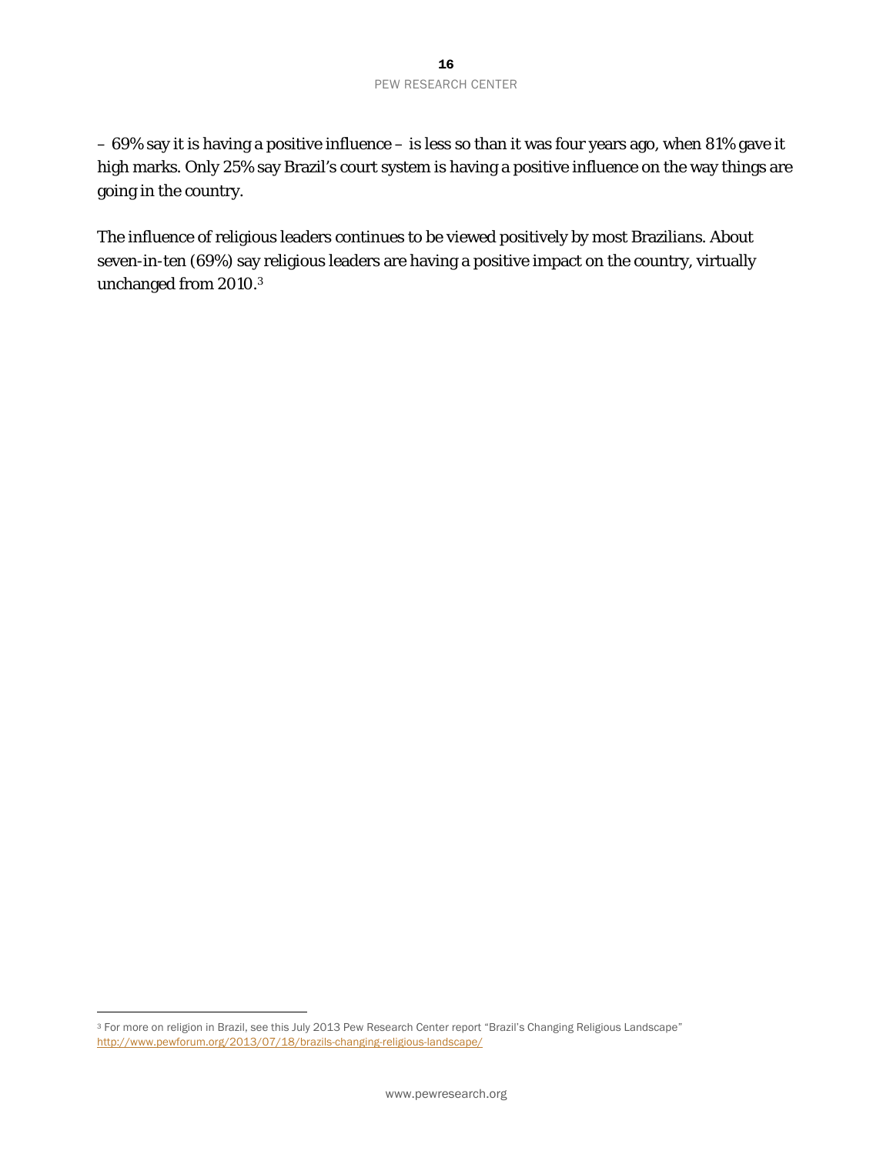– 69% say it is having a positive influence – is less so than it was four years ago, when 81% gave it high marks. Only 25% say Brazil's court system is having a positive influence on the way things are going in the country.

The influence of religious leaders continues to be viewed positively by most Brazilians. About seven-in-ten (69%) say religious leaders are having a positive impact on the country, virtually unchanged from 2010.3

 $\overline{a}$ 

<sup>&</sup>lt;sup>3</sup> For more on religion in Brazil, see this July 2013 Pew Research Center report "Brazil's Changing Religious Landscape" http://www.pewforum.org/2013/07/18/brazils-changing-religious-landscape/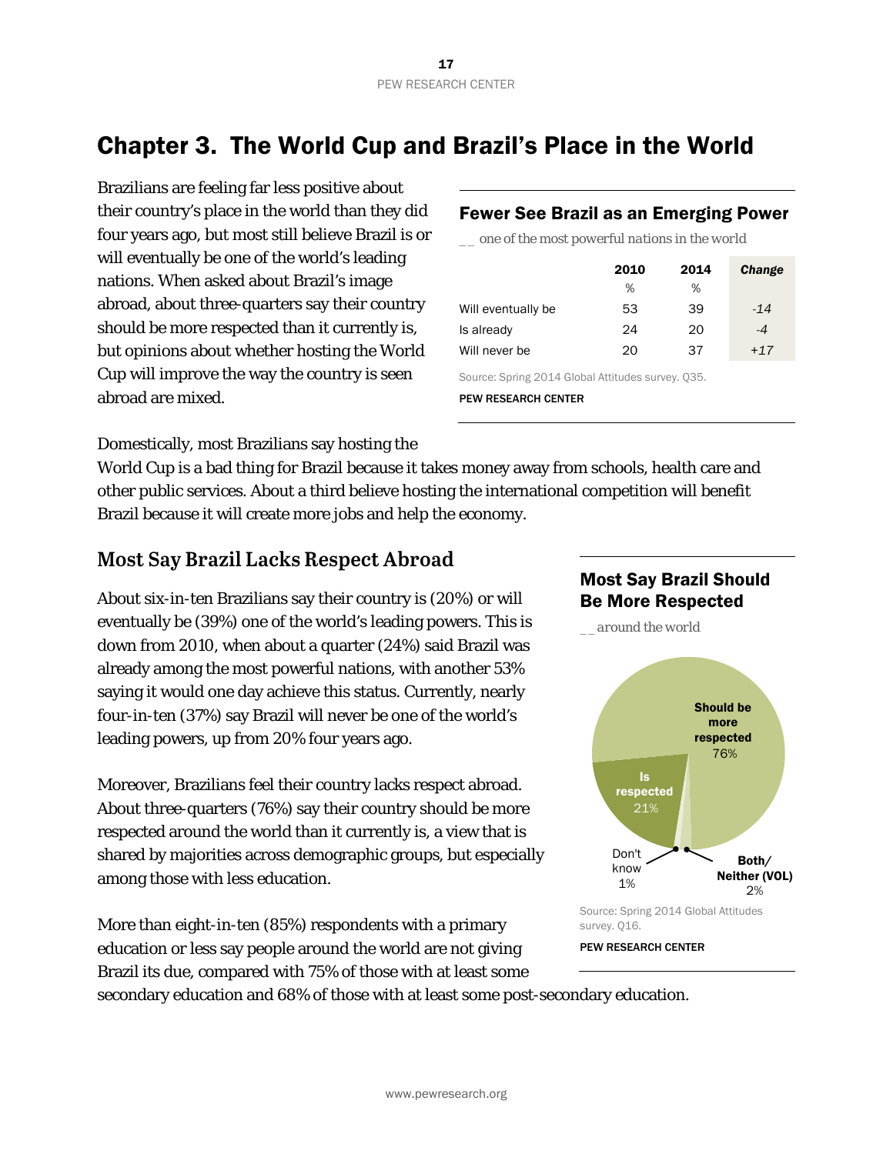### Chapter 3. The World Cup and Brazil's Place in the World

Brazilians are feeling far less positive about their country's place in the world than they did four years ago, but most still believe Brazil is or will eventually be one of the world's leading nations. When asked about Brazil's image abroad, about three-quarters say their country should be more respected than it currently is, but opinions about whether hosting the World Cup will improve the way the country is seen abroad are mixed.

#### Fewer See Brazil as an Emerging Power

*\_\_ one of the most powerful nations in the world*

|                    | 2010 | 2014 | Change |
|--------------------|------|------|--------|
|                    | %    | %    |        |
| Will eventually be | 53   | 39   | $-14$  |
| Is already         | 24   | 20   | $-4$   |
| Will never be      | 20   | 37   | $+17$  |

Source: Spring 2014 Global Attitudes survey. Q35. PEW RESEARCH CENTER

Domestically, most Brazilians say hosting the

World Cup is a bad thing for Brazil because it takes money away from schools, health care and other public services. About a third believe hosting the international competition will benefit Brazil because it will create more jobs and help the economy.

### **Most Say Brazil Lacks Respect Abroad**

About six-in-ten Brazilians say their country is (20%) or will eventually be (39%) one of the world's leading powers. This is down from 2010, when about a quarter (24%) said Brazil was already among the most powerful nations, with another 53% saying it would one day achieve this status. Currently, nearly four-in-ten (37%) say Brazil will never be one of the world's leading powers, up from 20% four years ago.

Moreover, Brazilians feel their country lacks respect abroad. About three-quarters (76%) say their country should be more respected around the world than it currently is, a view that is shared by majorities across demographic groups, but especially among those with less education.

More than eight-in-ten (85%) respondents with a primary education or less say people around the world are not giving Brazil its due, compared with 75% of those with at least some



*\_\_around the world*



PEW RESEARCH CENTER

secondary education and 68% of those with at least some post-secondary education.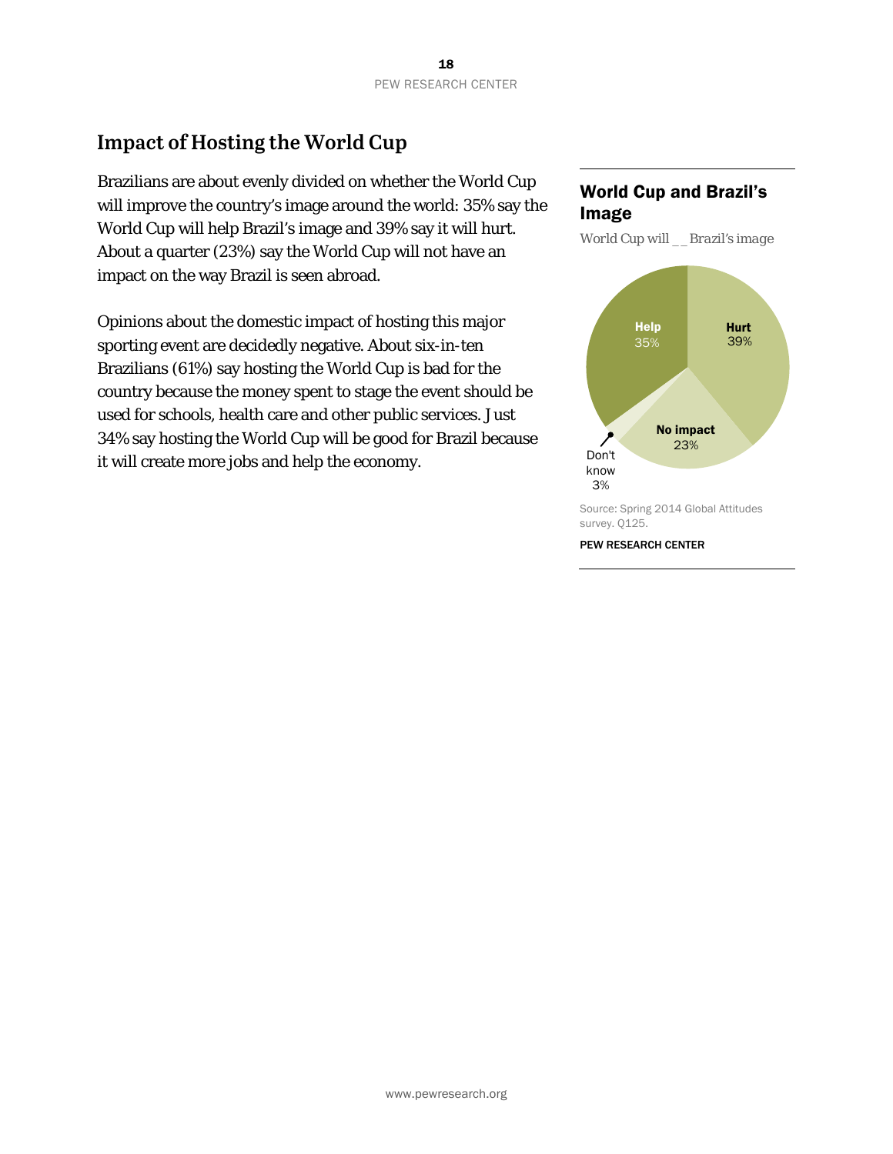### **Impact of Hosting the World Cup**

Brazilians are about evenly divided on whether the World Cup will improve the country's image around the world: 35% say the World Cup will help Brazil's image and 39% say it will hurt. About a quarter (23%) say the World Cup will not have an impact on the way Brazil is seen abroad.

Opinions about the domestic impact of hosting this major sporting event are decidedly negative. About six-in-ten Brazilians (61%) say hosting the World Cup is bad for the country because the money spent to stage the event should be used for schools, health care and other public services. Just 34% say hosting the World Cup will be good for Brazil because it will create more jobs and help the economy.

#### World Cup and Brazil's Image

*World Cup will \_\_Brazil's image* 



survey. Q125.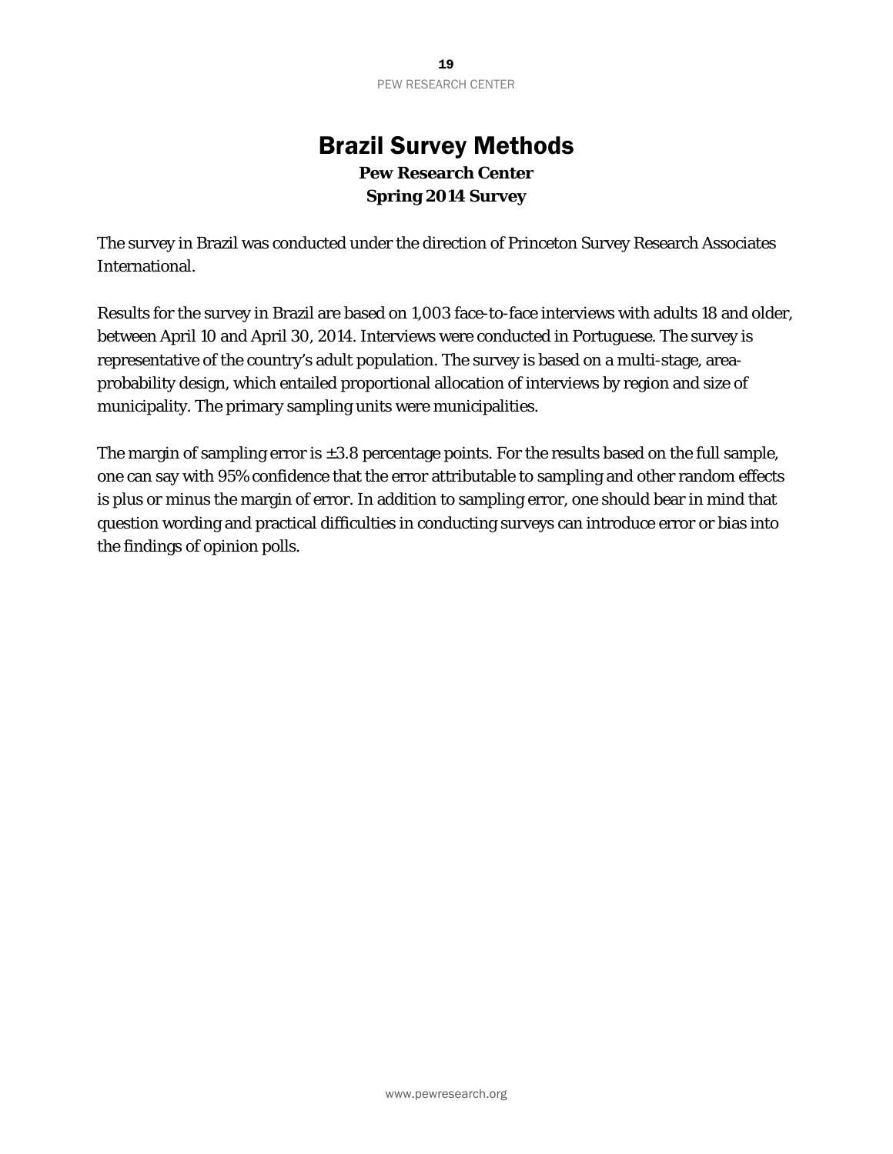### Brazil Survey Methods **Pew Research Center Spring 2014 Survey**

The survey in Brazil was conducted under the direction of Princeton Survey Research Associates International.

Results for the survey in Brazil are based on 1,003 face-to-face interviews with adults 18 and older, between April 10 and April 30, 2014. Interviews were conducted in Portuguese. The survey is representative of the country's adult population. The survey is based on a multi-stage, areaprobability design, which entailed proportional allocation of interviews by region and size of municipality. The primary sampling units were municipalities.

The margin of sampling error is  $\pm 3.8$  percentage points. For the results based on the full sample, one can say with 95% confidence that the error attributable to sampling and other random effects is plus or minus the margin of error. In addition to sampling error, one should bear in mind that question wording and practical difficulties in conducting surveys can introduce error or bias into the findings of opinion polls.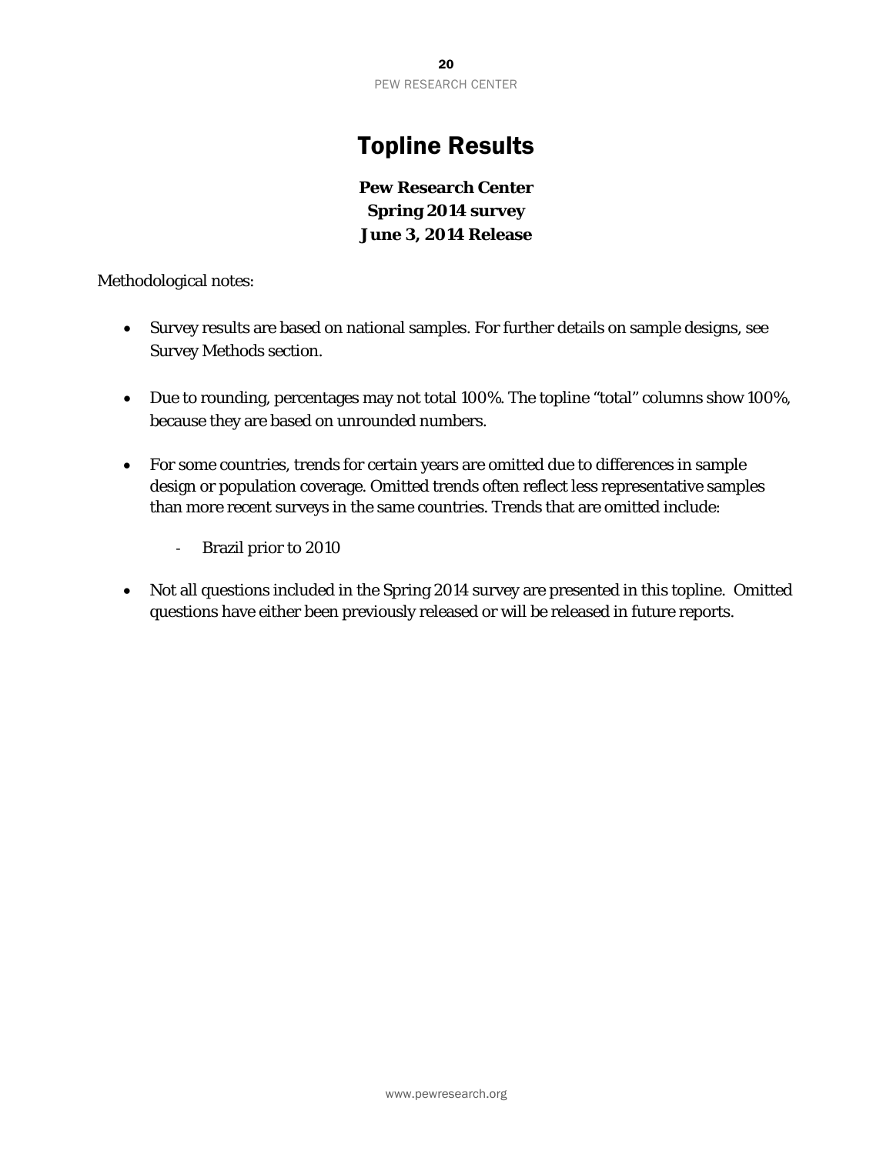### Topline Results

**Pew Research Center Spring 2014 survey June 3, 2014 Release** 

Methodological notes:

- Survey results are based on national samples. For further details on sample designs, see Survey Methods section.
- Due to rounding, percentages may not total 100%. The topline "total" columns show 100%, because they are based on unrounded numbers.
- For some countries, trends for certain years are omitted due to differences in sample design or population coverage. Omitted trends often reflect less representative samples than more recent surveys in the same countries. Trends that are omitted include:
	- ‐ Brazil prior to 2010
- Not all questions included in the Spring 2014 survey are presented in this topline. Omitted questions have either been previously released or will be released in future reports.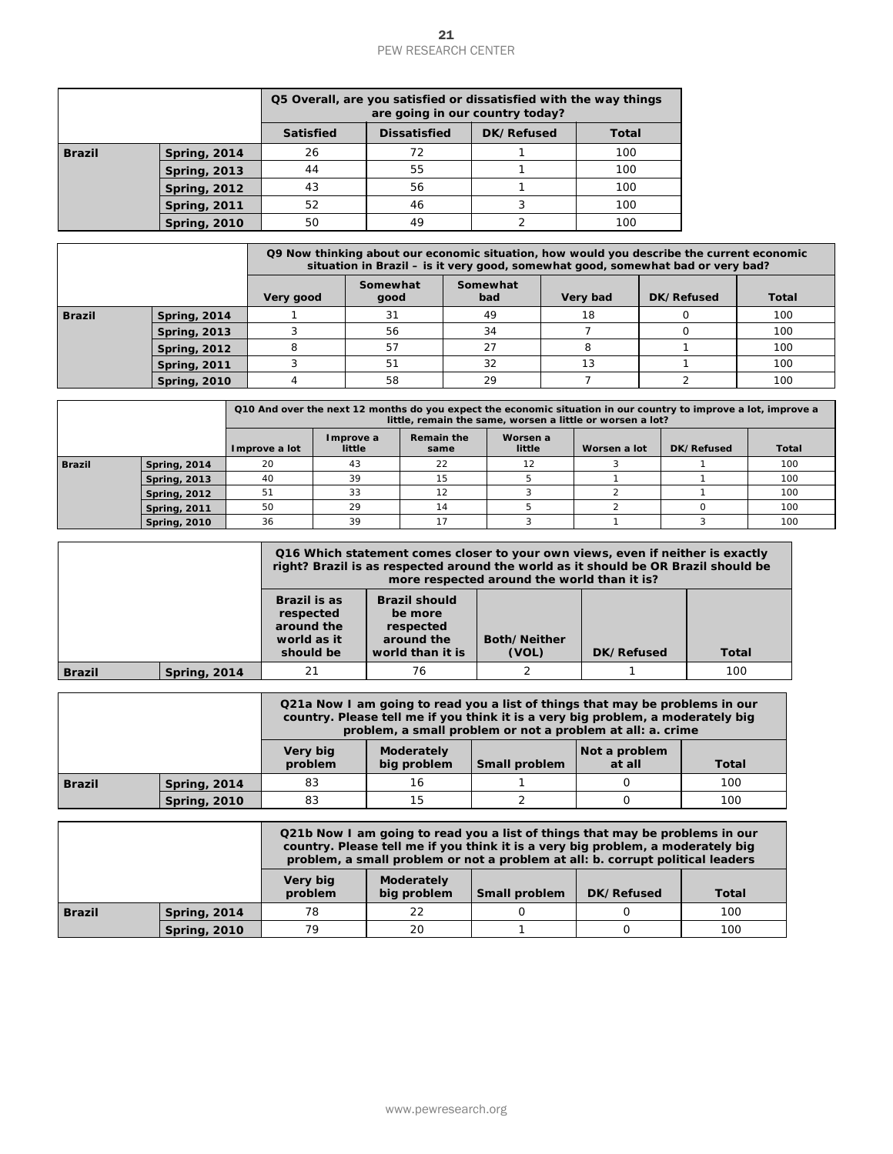|                                                                                                           |                                            |                                                                                                                                                                                                                                                           |                                     |                                                                                                                                                                                            | <b>PEW RESEARCH CENTER</b>                    |                                                                                    |                                                                                                                                                                                                                      |                                                                      |                                                                                                                                |                                                                                        |                                                                                                                                                                                                                                                                                                                                                                                                                                                                                                                                                                                                                                                                                                                                                                                                                                                                                                                                                                                                                                                                   |
|-----------------------------------------------------------------------------------------------------------|--------------------------------------------|-----------------------------------------------------------------------------------------------------------------------------------------------------------------------------------------------------------------------------------------------------------|-------------------------------------|--------------------------------------------------------------------------------------------------------------------------------------------------------------------------------------------|-----------------------------------------------|------------------------------------------------------------------------------------|----------------------------------------------------------------------------------------------------------------------------------------------------------------------------------------------------------------------|----------------------------------------------------------------------|--------------------------------------------------------------------------------------------------------------------------------|----------------------------------------------------------------------------------------|-------------------------------------------------------------------------------------------------------------------------------------------------------------------------------------------------------------------------------------------------------------------------------------------------------------------------------------------------------------------------------------------------------------------------------------------------------------------------------------------------------------------------------------------------------------------------------------------------------------------------------------------------------------------------------------------------------------------------------------------------------------------------------------------------------------------------------------------------------------------------------------------------------------------------------------------------------------------------------------------------------------------------------------------------------------------|
|                                                                                                           |                                            |                                                                                                                                                                                                                                                           |                                     |                                                                                                                                                                                            |                                               |                                                                                    |                                                                                                                                                                                                                      |                                                                      |                                                                                                                                |                                                                                        |                                                                                                                                                                                                                                                                                                                                                                                                                                                                                                                                                                                                                                                                                                                                                                                                                                                                                                                                                                                                                                                                   |
|                                                                                                           |                                            |                                                                                                                                                                                                                                                           |                                     |                                                                                                                                                                                            |                                               |                                                                                    |                                                                                                                                                                                                                      |                                                                      |                                                                                                                                |                                                                                        |                                                                                                                                                                                                                                                                                                                                                                                                                                                                                                                                                                                                                                                                                                                                                                                                                                                                                                                                                                                                                                                                   |
| <b>Brazil</b><br><b>Spring, 2014</b><br><b>Spring, 2013</b><br><b>Spring, 2012</b><br><b>Spring, 2011</b> |                                            |                                                                                                                                                                                                                                                           |                                     |                                                                                                                                                                                            | 72                                            |                                                                                    | 1                                                                                                                                                                                                                    |                                                                      | 100                                                                                                                            |                                                                                        |                                                                                                                                                                                                                                                                                                                                                                                                                                                                                                                                                                                                                                                                                                                                                                                                                                                                                                                                                                                                                                                                   |
|                                                                                                           |                                            |                                                                                                                                                                                                                                                           |                                     |                                                                                                                                                                                            | 55                                            |                                                                                    | 1                                                                                                                                                                                                                    |                                                                      | 100                                                                                                                            |                                                                                        |                                                                                                                                                                                                                                                                                                                                                                                                                                                                                                                                                                                                                                                                                                                                                                                                                                                                                                                                                                                                                                                                   |
|                                                                                                           |                                            |                                                                                                                                                                                                                                                           |                                     |                                                                                                                                                                                            | 56                                            |                                                                                    | 1                                                                                                                                                                                                                    |                                                                      | 100                                                                                                                            |                                                                                        |                                                                                                                                                                                                                                                                                                                                                                                                                                                                                                                                                                                                                                                                                                                                                                                                                                                                                                                                                                                                                                                                   |
|                                                                                                           |                                            |                                                                                                                                                                                                                                                           |                                     |                                                                                                                                                                                            |                                               |                                                                                    |                                                                                                                                                                                                                      |                                                                      |                                                                                                                                |                                                                                        |                                                                                                                                                                                                                                                                                                                                                                                                                                                                                                                                                                                                                                                                                                                                                                                                                                                                                                                                                                                                                                                                   |
|                                                                                                           |                                            |                                                                                                                                                                                                                                                           |                                     |                                                                                                                                                                                            |                                               |                                                                                    |                                                                                                                                                                                                                      |                                                                      |                                                                                                                                |                                                                                        |                                                                                                                                                                                                                                                                                                                                                                                                                                                                                                                                                                                                                                                                                                                                                                                                                                                                                                                                                                                                                                                                   |
|                                                                                                           |                                            |                                                                                                                                                                                                                                                           |                                     |                                                                                                                                                                                            |                                               |                                                                                    |                                                                                                                                                                                                                      |                                                                      |                                                                                                                                |                                                                                        |                                                                                                                                                                                                                                                                                                                                                                                                                                                                                                                                                                                                                                                                                                                                                                                                                                                                                                                                                                                                                                                                   |
|                                                                                                           |                                            |                                                                                                                                                                                                                                                           |                                     |                                                                                                                                                                                            |                                               |                                                                                    | bad                                                                                                                                                                                                                  |                                                                      |                                                                                                                                |                                                                                        | DK/R                                                                                                                                                                                                                                                                                                                                                                                                                                                                                                                                                                                                                                                                                                                                                                                                                                                                                                                                                                                                                                                              |
|                                                                                                           |                                            | 1                                                                                                                                                                                                                                                         |                                     |                                                                                                                                                                                            |                                               |                                                                                    | 49                                                                                                                                                                                                                   |                                                                      | 18                                                                                                                             |                                                                                        |                                                                                                                                                                                                                                                                                                                                                                                                                                                                                                                                                                                                                                                                                                                                                                                                                                                                                                                                                                                                                                                                   |
|                                                                                                           |                                            |                                                                                                                                                                                                                                                           |                                     |                                                                                                                                                                                            |                                               |                                                                                    |                                                                                                                                                                                                                      |                                                                      |                                                                                                                                |                                                                                        |                                                                                                                                                                                                                                                                                                                                                                                                                                                                                                                                                                                                                                                                                                                                                                                                                                                                                                                                                                                                                                                                   |
|                                                                                                           |                                            | 3                                                                                                                                                                                                                                                         |                                     |                                                                                                                                                                                            |                                               |                                                                                    | 32                                                                                                                                                                                                                   |                                                                      | 13                                                                                                                             |                                                                                        |                                                                                                                                                                                                                                                                                                                                                                                                                                                                                                                                                                                                                                                                                                                                                                                                                                                                                                                                                                                                                                                                   |
|                                                                                                           |                                            | $\overline{4}$                                                                                                                                                                                                                                            |                                     |                                                                                                                                                                                            |                                               |                                                                                    | 29                                                                                                                                                                                                                   |                                                                      | 7                                                                                                                              |                                                                                        |                                                                                                                                                                                                                                                                                                                                                                                                                                                                                                                                                                                                                                                                                                                                                                                                                                                                                                                                                                                                                                                                   |
|                                                                                                           |                                            |                                                                                                                                                                                                                                                           |                                     |                                                                                                                                                                                            |                                               |                                                                                    |                                                                                                                                                                                                                      |                                                                      |                                                                                                                                |                                                                                        |                                                                                                                                                                                                                                                                                                                                                                                                                                                                                                                                                                                                                                                                                                                                                                                                                                                                                                                                                                                                                                                                   |
|                                                                                                           |                                            |                                                                                                                                                                                                                                                           |                                     |                                                                                                                                                                                            |                                               |                                                                                    |                                                                                                                                                                                                                      |                                                                      |                                                                                                                                |                                                                                        | Dŀ                                                                                                                                                                                                                                                                                                                                                                                                                                                                                                                                                                                                                                                                                                                                                                                                                                                                                                                                                                                                                                                                |
| <b>Spring, 2014</b>                                                                                       |                                            | 20                                                                                                                                                                                                                                                        |                                     | 43                                                                                                                                                                                         |                                               |                                                                                    | 12                                                                                                                                                                                                                   |                                                                      | 3                                                                                                                              |                                                                                        |                                                                                                                                                                                                                                                                                                                                                                                                                                                                                                                                                                                                                                                                                                                                                                                                                                                                                                                                                                                                                                                                   |
|                                                                                                           |                                            |                                                                                                                                                                                                                                                           |                                     |                                                                                                                                                                                            |                                               |                                                                                    |                                                                                                                                                                                                                      |                                                                      |                                                                                                                                |                                                                                        |                                                                                                                                                                                                                                                                                                                                                                                                                                                                                                                                                                                                                                                                                                                                                                                                                                                                                                                                                                                                                                                                   |
| <b>Spring, 2011</b>                                                                                       |                                            | 50                                                                                                                                                                                                                                                        |                                     | 29                                                                                                                                                                                         |                                               |                                                                                    | 5                                                                                                                                                                                                                    |                                                                      | $\overline{2}$                                                                                                                 |                                                                                        |                                                                                                                                                                                                                                                                                                                                                                                                                                                                                                                                                                                                                                                                                                                                                                                                                                                                                                                                                                                                                                                                   |
| <b>Spring, 2010</b>                                                                                       |                                            | 36                                                                                                                                                                                                                                                        | 39<br>17                            |                                                                                                                                                                                            |                                               | 3                                                                                  |                                                                                                                                                                                                                      | $\mathbf{1}$                                                         |                                                                                                                                |                                                                                        |                                                                                                                                                                                                                                                                                                                                                                                                                                                                                                                                                                                                                                                                                                                                                                                                                                                                                                                                                                                                                                                                   |
|                                                                                                           |                                            |                                                                                                                                                                                                                                                           |                                     |                                                                                                                                                                                            |                                               |                                                                                    |                                                                                                                                                                                                                      |                                                                      |                                                                                                                                |                                                                                        |                                                                                                                                                                                                                                                                                                                                                                                                                                                                                                                                                                                                                                                                                                                                                                                                                                                                                                                                                                                                                                                                   |
|                                                                                                           |                                            |                                                                                                                                                                                                                                                           |                                     |                                                                                                                                                                                            |                                               |                                                                                    |                                                                                                                                                                                                                      |                                                                      |                                                                                                                                |                                                                                        |                                                                                                                                                                                                                                                                                                                                                                                                                                                                                                                                                                                                                                                                                                                                                                                                                                                                                                                                                                                                                                                                   |
|                                                                                                           |                                            |                                                                                                                                                                                                                                                           |                                     |                                                                                                                                                                                            |                                               |                                                                                    |                                                                                                                                                                                                                      |                                                                      |                                                                                                                                |                                                                                        |                                                                                                                                                                                                                                                                                                                                                                                                                                                                                                                                                                                                                                                                                                                                                                                                                                                                                                                                                                                                                                                                   |
|                                                                                                           |                                            |                                                                                                                                                                                                                                                           |                                     |                                                                                                                                                                                            |                                               |                                                                                    |                                                                                                                                                                                                                      |                                                                      |                                                                                                                                |                                                                                        |                                                                                                                                                                                                                                                                                                                                                                                                                                                                                                                                                                                                                                                                                                                                                                                                                                                                                                                                                                                                                                                                   |
|                                                                                                           |                                            |                                                                                                                                                                                                                                                           |                                     |                                                                                                                                                                                            |                                               |                                                                                    |                                                                                                                                                                                                                      |                                                                      |                                                                                                                                |                                                                                        |                                                                                                                                                                                                                                                                                                                                                                                                                                                                                                                                                                                                                                                                                                                                                                                                                                                                                                                                                                                                                                                                   |
|                                                                                                           |                                            |                                                                                                                                                                                                                                                           |                                     |                                                                                                                                                                                            |                                               |                                                                                    | 1.                                                                                                                                                                                                                   |                                                                      |                                                                                                                                |                                                                                        |                                                                                                                                                                                                                                                                                                                                                                                                                                                                                                                                                                                                                                                                                                                                                                                                                                                                                                                                                                                                                                                                   |
|                                                                                                           |                                            |                                                                                                                                                                                                                                                           |                                     |                                                                                                                                                                                            |                                               |                                                                                    |                                                                                                                                                                                                                      |                                                                      |                                                                                                                                |                                                                                        |                                                                                                                                                                                                                                                                                                                                                                                                                                                                                                                                                                                                                                                                                                                                                                                                                                                                                                                                                                                                                                                                   |
|                                                                                                           |                                            |                                                                                                                                                                                                                                                           |                                     |                                                                                                                                                                                            |                                               |                                                                                    |                                                                                                                                                                                                                      |                                                                      |                                                                                                                                |                                                                                        |                                                                                                                                                                                                                                                                                                                                                                                                                                                                                                                                                                                                                                                                                                                                                                                                                                                                                                                                                                                                                                                                   |
|                                                                                                           |                                            |                                                                                                                                                                                                                                                           |                                     |                                                                                                                                                                                            |                                               |                                                                                    |                                                                                                                                                                                                                      |                                                                      |                                                                                                                                |                                                                                        |                                                                                                                                                                                                                                                                                                                                                                                                                                                                                                                                                                                                                                                                                                                                                                                                                                                                                                                                                                                                                                                                   |
|                                                                                                           |                                            | 78                                                                                                                                                                                                                                                        |                                     |                                                                                                                                                                                            | 22                                            |                                                                                    | 0                                                                                                                                                                                                                    |                                                                      | 0                                                                                                                              |                                                                                        |                                                                                                                                                                                                                                                                                                                                                                                                                                                                                                                                                                                                                                                                                                                                                                                                                                                                                                                                                                                                                                                                   |
|                                                                                                           |                                            |                                                                                                                                                                                                                                                           |                                     |                                                                                                                                                                                            |                                               |                                                                                    |                                                                                                                                                                                                                      |                                                                      |                                                                                                                                |                                                                                        |                                                                                                                                                                                                                                                                                                                                                                                                                                                                                                                                                                                                                                                                                                                                                                                                                                                                                                                                                                                                                                                                   |
|                                                                                                           |                                            |                                                                                                                                                                                                                                                           |                                     |                                                                                                                                                                                            |                                               |                                                                                    |                                                                                                                                                                                                                      |                                                                      |                                                                                                                                |                                                                                        |                                                                                                                                                                                                                                                                                                                                                                                                                                                                                                                                                                                                                                                                                                                                                                                                                                                                                                                                                                                                                                                                   |
|                                                                                                           | <b>Spring, 2013</b><br><b>Spring, 2012</b> | <b>Spring, 2010</b><br><b>Spring, 2014</b><br><b>Spring, 2013</b><br><b>Spring, 2012</b><br><b>Spring, 2011</b><br><b>Spring, 2010</b><br><b>Spring, 2014</b><br><b>Spring, 2014</b><br><b>Spring, 2010</b><br><b>Spring, 2014</b><br><b>Spring, 2010</b> | 3<br>8<br>Improve a lot<br>40<br>51 | <b>Satisfied</b><br>26<br>44<br>43<br>52<br>50<br>Very good<br>Brazil is as<br>respected<br>world as it<br>should be<br>21<br>Very big<br>problem<br>83<br>83<br>Very big<br>problem<br>79 | Improve a<br>little<br>39<br>33<br>around the | 46<br>49<br>Somewhat<br>good<br>31<br>56<br>57<br>51<br>58<br>76<br>16<br>15<br>20 | <b>Dissatisfied</b><br><b>Remain the</b><br>same<br>22<br>15<br>12<br>14<br><b>Brazil should</b><br>be more<br>respected<br>around the<br>world than it is<br>Moderately<br>big problem<br>Moderately<br>big problem | 3<br>$\overline{2}$<br>Somewhat<br>34<br>27<br>5<br>3<br>2<br>2<br>1 | are going in our country today?<br>DK/Refused<br>Worsen a<br>little<br>Both/Neither<br>(VOL)<br>Small problem<br>Small problem | 100<br>100<br>Very bad<br>7<br>8<br>$\mathbf{1}$<br>$\overline{2}$<br>1<br>0<br>0<br>0 | Q5 Overall, are you satisfied or dissatisfied with the way things<br>Total<br>Q9 Now thinking about our economic situation, how would you describe<br>situation in Brazil - is it very good, somewhat good, somewhat b<br>Q10 And over the next 12 months do you expect the economic situation in our country<br>little, remain the same, worsen a little or worsen a lot?<br>Worsen a lot<br>Q16 Which statement comes closer to your own views, even if nei<br>right? Brazil is as respected around the world as it should be OR B<br>more respected around the world than it is?<br>DK/Refused<br>Q21a Now I am going to read you a list of things that may be pro<br>country. Please tell me if you think it is a very big problem, a mo<br>problem, a small problem or not a problem at all: a. cri<br>Not a problem<br>at all<br>Q21b Now I am going to read you a list of things that may be pro<br>country. Please tell me if you think it is a very big problem, a mo<br>problem, a small problem or not a problem at all: b. corrupt poli<br>DK/Refused |

|               |                     | Q9 Now thinking about our economic situation, how would you describe the current economic<br>situation in Brazil – is it very good, somewhat good, somewhat bad or very bad? |                  |                 |          |            |              |  |  |
|---------------|---------------------|------------------------------------------------------------------------------------------------------------------------------------------------------------------------------|------------------|-----------------|----------|------------|--------------|--|--|
|               |                     | Very good                                                                                                                                                                    | Somewhat<br>qood | Somewhat<br>bad | Very bad | DK/Refused | <b>Total</b> |  |  |
| <b>Brazil</b> | <b>Spring, 2014</b> |                                                                                                                                                                              | 31               | 49              | 18       |            | 100          |  |  |
|               | <b>Spring, 2013</b> |                                                                                                                                                                              | 56               | 34              |          |            | 100          |  |  |
|               | <b>Spring, 2012</b> | 8                                                                                                                                                                            | 57               |                 |          |            | 100          |  |  |
|               | <b>Spring, 2011</b> |                                                                                                                                                                              | 51               | 32              | 13       |            | 100          |  |  |
|               | <b>Spring, 2010</b> |                                                                                                                                                                              | 58               | 29              |          |            | 100          |  |  |

|               |                     | Q10 And over the next 12 months do you expect the economic situation in our country to improve a lot, improve a<br>little, remain the same, worsen a little or worsen a lot? |                     |                           |                    |              |            |       |
|---------------|---------------------|------------------------------------------------------------------------------------------------------------------------------------------------------------------------------|---------------------|---------------------------|--------------------|--------------|------------|-------|
|               |                     | Improve a lot                                                                                                                                                                | Improve a<br>little | <b>Remain the</b><br>same | Worsen a<br>little | Worsen a lot | DK/Refused | Total |
| <b>Brazil</b> | <b>Spring, 2014</b> | 20                                                                                                                                                                           | 43                  | 22                        | 12                 |              |            | 100   |
|               | <b>Spring, 2013</b> | 40                                                                                                                                                                           | 39                  | 15                        |                    |              |            | 100   |
|               | <b>Spring, 2012</b> | 51                                                                                                                                                                           | 33                  | 12                        |                    |              |            | 100   |
|               | <b>Spring, 2011</b> | 50                                                                                                                                                                           | 29                  | 14                        |                    |              |            | 100   |
|               | <b>Spring, 2010</b> | 36                                                                                                                                                                           | 39                  |                           |                    |              |            | 100   |

|               |                     | Q16 Which statement comes closer to your own views, even if neither is exactly<br>right? Brazil is as respected around the world as it should be OR Brazil should be<br>more respected around the world than it is? |                                                                                |                       |            |              |
|---------------|---------------------|---------------------------------------------------------------------------------------------------------------------------------------------------------------------------------------------------------------------|--------------------------------------------------------------------------------|-----------------------|------------|--------------|
|               |                     | <b>Brazil is as</b><br>respected<br>around the<br>world as it<br>should be                                                                                                                                          | <b>Brazil should</b><br>be more<br>respected<br>around the<br>world than it is | Both/Neither<br>(VOL) | DK/Refused | <b>Total</b> |
| <b>Brazil</b> | <b>Spring, 2014</b> |                                                                                                                                                                                                                     | 76                                                                             |                       |            | 100          |

|               |                     | Q21a Now I am going to read you a list of things that may be problems in our<br>country. Please tell me if you think it is a very big problem, a moderately big<br>problem, a small problem or not a problem at all: a. crime |                           |               |                         |              |  |
|---------------|---------------------|-------------------------------------------------------------------------------------------------------------------------------------------------------------------------------------------------------------------------------|---------------------------|---------------|-------------------------|--------------|--|
|               |                     | Very big<br>problem                                                                                                                                                                                                           | Moderately<br>big problem | Small problem | Not a problem<br>at all | <b>Total</b> |  |
| <b>Brazil</b> | <b>Spring, 2014</b> | 83                                                                                                                                                                                                                            | 16                        |               |                         | 100          |  |
|               | <b>Spring, 2010</b> | 83                                                                                                                                                                                                                            | 15                        |               |                         | 100          |  |

|               |                     | Q21b Now I am going to read you a list of things that may be problems in our<br>country. Please tell me if you think it is a very big problem, a moderately big<br>problem, a small problem or not a problem at all: b. corrupt political leaders |                                                                 |  |  |     |  |  |  |
|---------------|---------------------|---------------------------------------------------------------------------------------------------------------------------------------------------------------------------------------------------------------------------------------------------|-----------------------------------------------------------------|--|--|-----|--|--|--|
|               |                     | Very big<br>problem                                                                                                                                                                                                                               | Moderately<br>big problem<br>DK/Refused<br><b>Small problem</b> |  |  |     |  |  |  |
| <b>Brazil</b> | Spring, 2014        | 78                                                                                                                                                                                                                                                | 22                                                              |  |  | 100 |  |  |  |
|               | <b>Spring, 2010</b> | 79                                                                                                                                                                                                                                                | 20                                                              |  |  | 100 |  |  |  |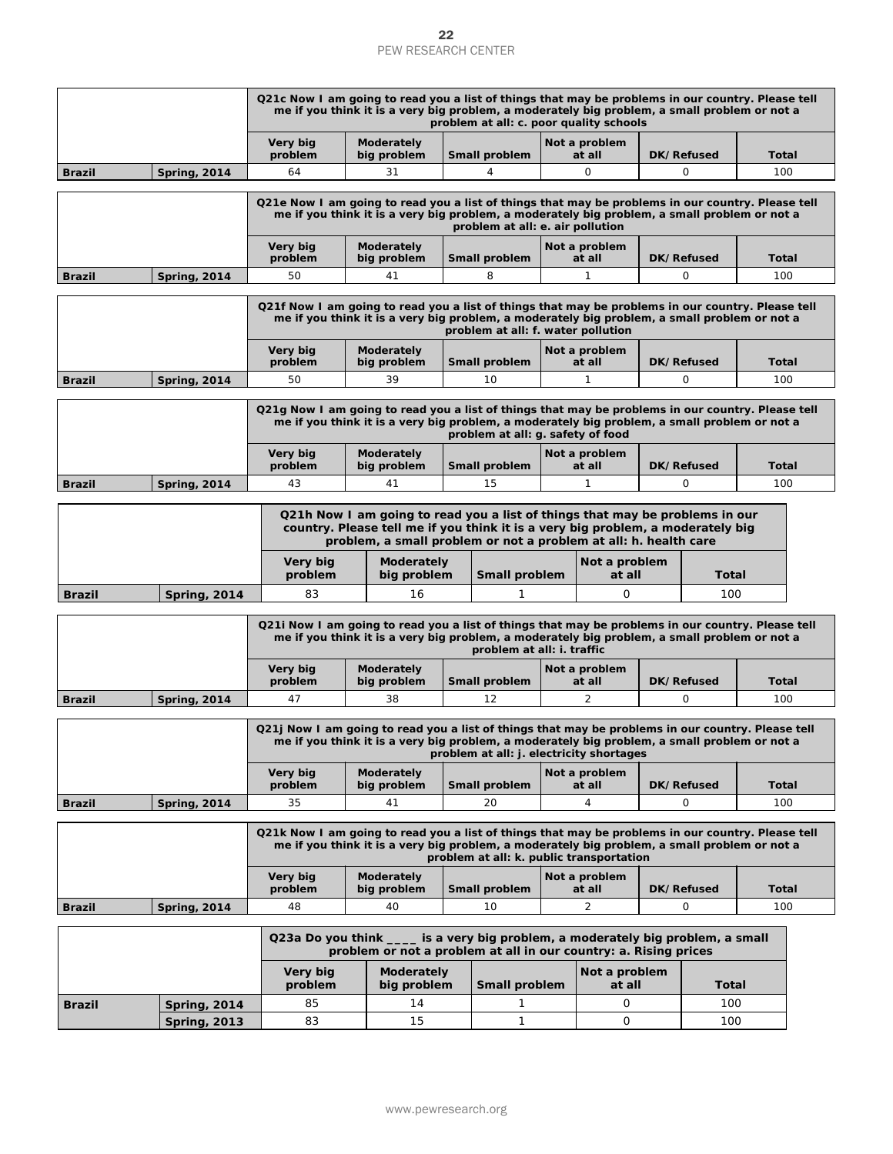|               |                     |                                                                                                                                                                                                                                         |  | PEW RESEARCH CENTER                                                                          | 22 |                                          |  |                         |  |                   |              |  |
|---------------|---------------------|-----------------------------------------------------------------------------------------------------------------------------------------------------------------------------------------------------------------------------------------|--|----------------------------------------------------------------------------------------------|----|------------------------------------------|--|-------------------------|--|-------------------|--------------|--|
|               |                     |                                                                                                                                                                                                                                         |  |                                                                                              |    |                                          |  |                         |  |                   |              |  |
|               |                     | Q21c Now I am going to read you a list of things that may be problems in our country. Please tell                                                                                                                                       |  | me if you think it is a very big problem, a moderately big problem, a small problem or not a |    | problem at all: c. poor quality schools  |  |                         |  |                   |              |  |
|               |                     | Very big<br>problem                                                                                                                                                                                                                     |  | Moderately<br>big problem                                                                    |    | Small problem                            |  | Not a problem<br>at all |  | DK/Refused        | <b>Total</b> |  |
| <b>Brazil</b> | <b>Spring, 2014</b> | 64                                                                                                                                                                                                                                      |  | 31                                                                                           |    | 4                                        |  | 0                       |  | 0                 | 100          |  |
|               |                     | Q21e Now I am going to read you a list of things that may be problems in our country. Please tell                                                                                                                                       |  | me if you think it is a very big problem, a moderately big problem, a small problem or not a |    | problem at all: e. air pollution         |  |                         |  |                   |              |  |
|               |                     | Very big<br>problem                                                                                                                                                                                                                     |  | Moderately<br>big problem                                                                    |    | Small problem                            |  | Not a problem<br>at all |  | <b>DK/Refused</b> | Total        |  |
| <b>Brazil</b> | <b>Spring, 2014</b> | 50                                                                                                                                                                                                                                      |  | 41                                                                                           |    | 8                                        |  | 1                       |  | 0                 | 100          |  |
|               |                     | Q21f Now I am going to read you a list of things that may be problems in our country. Please tell<br>me if you think it is a very big problem, a moderately big problem, a small problem or not a<br>problem at all: f. water pollution |  |                                                                                              |    |                                          |  |                         |  |                   |              |  |
|               |                     | Very big<br>problem                                                                                                                                                                                                                     |  | Moderately<br>big problem                                                                    |    | Small problem                            |  | Not a problem<br>at all |  | DK/Refused        | <b>Total</b> |  |
| <b>Brazil</b> | <b>Spring, 2014</b> | 50                                                                                                                                                                                                                                      |  | 39                                                                                           |    | 10                                       |  | 1                       |  | 0                 | 100          |  |
|               |                     | Q21g Now I am going to read you a list of things that may be problems in our country. Please tell                                                                                                                                       |  | me if you think it is a very big problem, a moderately big problem, a small problem or not a |    | problem at all: g. safety of food        |  |                         |  |                   |              |  |
|               |                     | Very big<br>problem                                                                                                                                                                                                                     |  | <b>Moderately</b><br>big problem                                                             |    | Small problem                            |  | Not a problem<br>at all |  | DK/Refused        | Total        |  |
| <b>Brazil</b> | <b>Spring, 2014</b> | 43                                                                                                                                                                                                                                      |  | 41                                                                                           |    | 15                                       |  | 1                       |  | 0                 | 100          |  |
|               |                     | Q21h Now I am going to read you a list of things that may be problems in our<br>country. Please tell me if you think it is a very big problem, a moderately big<br>problem, a small problem or not a problem at all: h. health care     |  |                                                                                              |    |                                          |  |                         |  |                   |              |  |
|               |                     | Very big<br>problem                                                                                                                                                                                                                     |  | Moderately<br>big problem                                                                    |    | Small problem                            |  | Not a problem<br>at all |  | Total             |              |  |
| <b>Brazil</b> | <b>Spring, 2014</b> | 83                                                                                                                                                                                                                                      |  | 16                                                                                           |    | 1                                        |  | 0                       |  | 100               |              |  |
|               |                     | Q21i Now I am going to read you a list of things that may be problems in our country. Please tell                                                                                                                                       |  | me if you think it is a very big problem, a moderately big problem, a small problem or not a |    | problem at all: i. traffic               |  |                         |  |                   |              |  |
|               |                     | Very big<br>problem                                                                                                                                                                                                                     |  | Moderately<br>big problem                                                                    |    | Small problem                            |  | Not a problem<br>at all |  | DK/Refused        | Total        |  |
| <b>Brazil</b> | <b>Spring, 2014</b> | 47                                                                                                                                                                                                                                      |  | 38                                                                                           |    | 12                                       |  | 2                       |  | 0                 | 100          |  |
|               |                     | Q21j Now I am going to read you a list of things that may be problems in our country. Please tell                                                                                                                                       |  | me if you think it is a very big problem, a moderately big problem, a small problem or not a |    | problem at all: j. electricity shortages |  |                         |  |                   |              |  |
|               |                     | Very big<br>problem                                                                                                                                                                                                                     |  | Moderately<br>big problem                                                                    |    | Small problem                            |  | Not a problem<br>at all |  | DK/Refused        | Total        |  |
| <b>Brazil</b> | <b>Spring, 2014</b> | 35                                                                                                                                                                                                                                      |  | 41                                                                                           |    | 20                                       |  | 4                       |  | 0                 | 100          |  |
|               |                     | Q21k Now I am going to read you a list of things that may be problems in our country. Please tell                                                                                                                                       |  | me if you think it is a very big problem, a moderately big problem, a small problem or not a |    | problem at all: k. public transportation |  |                         |  |                   |              |  |
|               |                     | Very big<br>problem                                                                                                                                                                                                                     |  | Moderately<br>big problem                                                                    |    | Small problem                            |  | Not a problem<br>at all |  | DK/Refused        | <b>Total</b> |  |
| <b>Brazil</b> | <b>Spring, 2014</b> | 48                                                                                                                                                                                                                                      |  | 40                                                                                           |    | 10                                       |  | $\overline{2}$          |  | 0                 | 100          |  |
|               |                     | Q23a Do you think ____ is a very big problem, a moderately big problem, a small                                                                                                                                                         |  | problem or not a problem at all in our country: a. Rising prices                             |    |                                          |  |                         |  |                   |              |  |
|               |                     | Very big<br>problem                                                                                                                                                                                                                     |  | Moderately<br>big problem                                                                    |    | Small problem                            |  | Not a problem<br>at all |  | Total             |              |  |
| Brazil        | <b>Spring, 2014</b> | 85                                                                                                                                                                                                                                      |  | 14                                                                                           |    | 1                                        |  | 0                       |  | 100               |              |  |
|               | <b>Spring, 2013</b> | 83                                                                                                                                                                                                                                      |  | 15                                                                                           |    | 1                                        |  | 0                       |  | 100               |              |  |
|               |                     |                                                                                                                                                                                                                                         |  | www.pewresearch.org                                                                          |    |                                          |  |                         |  |                   |              |  |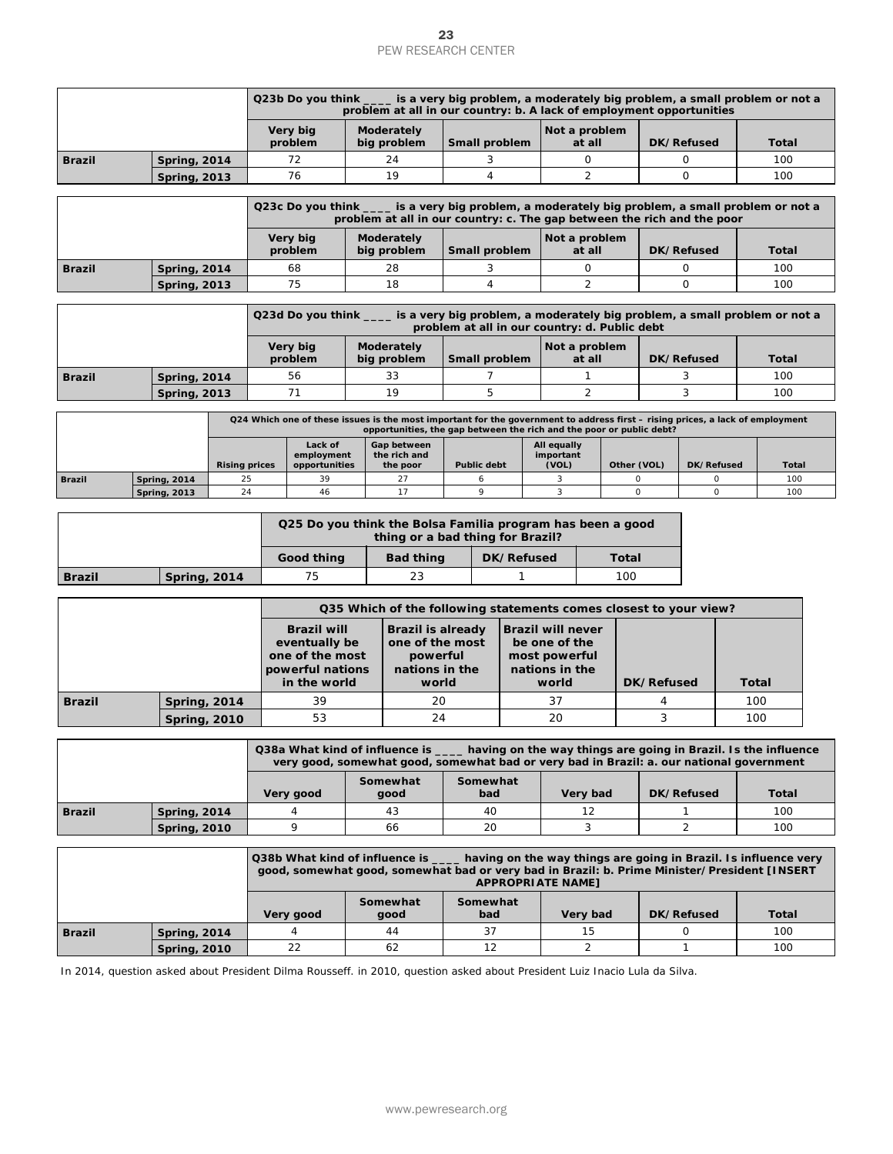|               |                     | Q23b Do you think _____ is a very big problem, a moderately big problem, a small problem or not a<br>problem at all in our country: b. A lack of employment opportunities |                           |               |                         |            |              |  |  |  |
|---------------|---------------------|---------------------------------------------------------------------------------------------------------------------------------------------------------------------------|---------------------------|---------------|-------------------------|------------|--------------|--|--|--|
|               |                     | Very big<br>problem                                                                                                                                                       | Moderately<br>big problem | Small problem | Not a problem<br>at all | DK/Refused | <b>Total</b> |  |  |  |
| <b>Brazil</b> | <b>Spring, 2014</b> |                                                                                                                                                                           | 24                        |               |                         |            | 100          |  |  |  |
|               | <b>Spring, 2013</b> | 76                                                                                                                                                                        | 19                        |               |                         |            | 100          |  |  |  |

|          |                     | Q23c Do you think _____ is a very big problem, a moderately big problem, a small problem or not a<br>problem at all in our country: c. The gap between the rich and the poor |                           |               |                         |            |              |  |  |  |  |  |
|----------|---------------------|------------------------------------------------------------------------------------------------------------------------------------------------------------------------------|---------------------------|---------------|-------------------------|------------|--------------|--|--|--|--|--|
|          |                     | Very big<br>problem                                                                                                                                                          | Moderately<br>big problem | Small problem | Not a problem<br>at all | DK/Refused | <b>Total</b> |  |  |  |  |  |
| l Brazil | <b>Spring, 2014</b> | 68                                                                                                                                                                           | 28                        |               |                         |            | 100          |  |  |  |  |  |
|          | <b>Spring, 2013</b> | 100<br>75<br>18                                                                                                                                                              |                           |               |                         |            |              |  |  |  |  |  |

|               |                     | Q23d Do you think _<br>s is a very big problem, a moderately big problem, a small problem or not a<br>problem at all in our country: d. Public debt |                           |               |                         |            |              |  |  |  |
|---------------|---------------------|-----------------------------------------------------------------------------------------------------------------------------------------------------|---------------------------|---------------|-------------------------|------------|--------------|--|--|--|
|               |                     | Very big<br>problem                                                                                                                                 | Moderately<br>big problem | Small problem | Not a problem<br>at all | DK/Refused | <b>Total</b> |  |  |  |
| <b>Brazil</b> | <b>Spring, 2014</b> | 56                                                                                                                                                  | 33                        |               |                         |            | 100          |  |  |  |
|               | <b>Spring, 2013</b> |                                                                                                                                                     | 19                        |               |                         |            | 100          |  |  |  |

|               |                     | Q24 Which one of these issues is the most important for the government to address first – rising prices, a lack of employment<br>opportunities, the gap between the rich and the poor or public debt? |                                        |                                         |                    |                                   |             |            |              |  |  |
|---------------|---------------------|-------------------------------------------------------------------------------------------------------------------------------------------------------------------------------------------------------|----------------------------------------|-----------------------------------------|--------------------|-----------------------------------|-------------|------------|--------------|--|--|
|               |                     | <b>Rising prices</b>                                                                                                                                                                                  | Lack of<br>employment<br>opportunities | Gap between<br>the rich and<br>the poor | <b>Public debt</b> | All equally<br>important<br>(VOL) | Other (VOL) | DK/Refused | <b>Total</b> |  |  |
| <b>Brazil</b> | <b>Spring, 2014</b> | 25                                                                                                                                                                                                    | 39                                     | 27                                      |                    |                                   |             |            | 100          |  |  |
|               | <b>Spring, 2013</b> | 24                                                                                                                                                                                                    | 46                                     |                                         |                    |                                   |             |            | 100          |  |  |

|               |              | Q25 Do you think the Bolsa Familia program has been a good<br>thing or a bad thing for Brazil? |                  |            |       |  |  |  |  |
|---------------|--------------|------------------------------------------------------------------------------------------------|------------------|------------|-------|--|--|--|--|
|               |              | Good thing                                                                                     | <b>Bad thing</b> | DK/Refused | Total |  |  |  |  |
| <b>Brazil</b> | Spring, 2014 | 23<br>100<br>75                                                                                |                  |            |       |  |  |  |  |

|               |                                                                                                                            |                      |                                                                                                                                                |  | <b>PEW RESEARCH CENTER</b>                                                                                                                                                                           | 23                 |     |            |                                                           |                         |                    |            |                   |                            |                                                              |
|---------------|----------------------------------------------------------------------------------------------------------------------------|----------------------|------------------------------------------------------------------------------------------------------------------------------------------------|--|------------------------------------------------------------------------------------------------------------------------------------------------------------------------------------------------------|--------------------|-----|------------|-----------------------------------------------------------|-------------------------|--------------------|------------|-------------------|----------------------------|--------------------------------------------------------------|
|               |                                                                                                                            |                      |                                                                                                                                                |  | Q23b Do you think ____ is a very big problem, a moderately big problem, a small problem or no<br>problem at all in our country: b. A lack of employment opportunities                                |                    |     |            |                                                           |                         |                    |            |                   |                            |                                                              |
|               |                                                                                                                            |                      | Very big<br>problem                                                                                                                            |  | Moderately<br>big problem                                                                                                                                                                            | Small problem      |     |            |                                                           | Not a problem<br>at all |                    |            | DK/Refused        |                            | Total                                                        |
| <b>Brazil</b> | <b>Spring, 2014</b>                                                                                                        |                      | 72                                                                                                                                             |  | 24                                                                                                                                                                                                   |                    | 3   |            |                                                           | 0                       |                    |            | 0                 |                            | 100                                                          |
|               | <b>Spring, 2013</b>                                                                                                        |                      | 76                                                                                                                                             |  | 19                                                                                                                                                                                                   |                    | 4   |            |                                                           | 2                       |                    |            | $\mathbf{O}$      |                            | 100                                                          |
|               |                                                                                                                            |                      |                                                                                                                                                |  |                                                                                                                                                                                                      |                    |     |            |                                                           |                         |                    |            |                   |                            |                                                              |
|               |                                                                                                                            |                      | Q23c Do you think __                                                                                                                           |  | _ is a very big problem, a moderately big problem, a small problem or nc<br>problem at all in our country: c. The gap between the rich and the poor                                                  |                    |     |            |                                                           |                         |                    |            |                   |                            |                                                              |
|               |                                                                                                                            |                      | Very big<br>problem                                                                                                                            |  | Moderately<br>big problem                                                                                                                                                                            | Small problem      |     |            |                                                           | Not a problem<br>at all |                    |            | DK/Refused        |                            | Total                                                        |
| <b>Brazil</b> | <b>Spring, 2014</b>                                                                                                        |                      | 68                                                                                                                                             |  | 28                                                                                                                                                                                                   |                    | 3   |            |                                                           | 0                       |                    |            | 0                 |                            | 100                                                          |
|               | <b>Spring, 2013</b>                                                                                                        |                      | 75                                                                                                                                             |  | 18                                                                                                                                                                                                   |                    | 4   |            |                                                           | 2                       |                    |            | $\mathbf{O}$      |                            | 100                                                          |
|               |                                                                                                                            |                      | Q23d Do you think ____ is a very big problem, a moderately big problem, a small problem or no<br>problem at all in our country: d. Public debt |  |                                                                                                                                                                                                      |                    |     |            |                                                           |                         |                    |            |                   |                            |                                                              |
|               |                                                                                                                            |                      | Very big<br>problem                                                                                                                            |  | Moderately<br>big problem                                                                                                                                                                            | Small problem      |     |            |                                                           | Not a problem<br>at all |                    |            | <b>DK/Refused</b> |                            | Total                                                        |
| <b>Brazil</b> | <b>Spring, 2014</b>                                                                                                        |                      | 56                                                                                                                                             |  | 33                                                                                                                                                                                                   |                    | 7   |            |                                                           | 1                       |                    |            | 3                 |                            | 100                                                          |
|               | <b>Spring, 2013</b>                                                                                                        |                      | 71                                                                                                                                             |  | 19                                                                                                                                                                                                   |                    | 5   |            |                                                           | 2                       |                    |            | 3                 |                            | 100                                                          |
|               |                                                                                                                            |                      |                                                                                                                                                |  | Q24 Which one of these issues is the most important for the government to address first – rising prices, a lack of employmen<br>opportunities, the gap between the rich and the poor or public debt? |                    |     |            |                                                           |                         |                    |            |                   |                            |                                                              |
|               |                                                                                                                            |                      | Lack of                                                                                                                                        |  | Gap between                                                                                                                                                                                          |                    |     |            | <b>All equally</b>                                        |                         |                    |            |                   |                            |                                                              |
|               |                                                                                                                            | <b>Rising prices</b> | employment<br>opportunities                                                                                                                    |  | the rich and<br>the poor                                                                                                                                                                             | <b>Public debt</b> |     |            | important<br>(VOL)                                        |                         | Other (VOL)        |            | DK/Refused        |                            | Tota                                                         |
| <b>Brazil</b> | <b>Spring, 2014</b>                                                                                                        | 25<br>24             | 39<br>46                                                                                                                                       |  | 27<br>17                                                                                                                                                                                             | 6<br>9             |     |            | 3<br>3                                                    |                         | $\circ$<br>$\circ$ |            |                   | $\mathsf O$<br>$\mathsf O$ | 100                                                          |
|               | <b>Spring, 2013</b>                                                                                                        |                      |                                                                                                                                                |  |                                                                                                                                                                                                      |                    |     |            |                                                           |                         |                    |            |                   |                            | 100                                                          |
|               |                                                                                                                            |                      |                                                                                                                                                |  | Q25 Do you think the Bolsa Familia program has been a good<br>thing or a bad thing for Brazil?                                                                                                       |                    |     |            |                                                           |                         |                    |            |                   |                            |                                                              |
|               |                                                                                                                            |                      | Good thing                                                                                                                                     |  | <b>Bad thing</b>                                                                                                                                                                                     |                    |     | DK/Refused |                                                           |                         | Total              |            |                   |                            |                                                              |
| <b>Brazil</b> | <b>Spring, 2014</b>                                                                                                        |                      | 75                                                                                                                                             |  | 23                                                                                                                                                                                                   |                    |     | 1          |                                                           |                         | 100                |            |                   |                            |                                                              |
|               |                                                                                                                            |                      |                                                                                                                                                |  | Q35 Which of the following statements comes closest to your view?                                                                                                                                    |                    |     |            |                                                           |                         |                    |            |                   |                            |                                                              |
|               |                                                                                                                            |                      | <b>Brazil will</b>                                                                                                                             |  | <b>Brazil is already</b>                                                                                                                                                                             |                    |     |            | <b>Brazil will never</b>                                  |                         |                    |            |                   |                            |                                                              |
|               |                                                                                                                            |                      | eventually be<br>one of the most<br>powerful nations<br>in the world                                                                           |  | one of the most<br>powerful<br>nations in the<br>world                                                                                                                                               |                    |     |            | be one of the<br>most powerful<br>nations in the<br>world |                         |                    | DK/Refused |                   | Total                      |                                                              |
| <b>Brazil</b> | <b>Spring, 2014</b>                                                                                                        |                      | 39                                                                                                                                             |  | 20                                                                                                                                                                                                   |                    |     |            | 37                                                        |                         |                    | 4          |                   |                            | 100                                                          |
|               | <b>Spring, 2010</b>                                                                                                        |                      | 53                                                                                                                                             |  | 24                                                                                                                                                                                                   |                    |     |            | 20                                                        |                         |                    | 3          |                   |                            | 100                                                          |
|               |                                                                                                                            |                      |                                                                                                                                                |  |                                                                                                                                                                                                      |                    |     |            |                                                           |                         |                    |            |                   |                            |                                                              |
|               |                                                                                                                            |                      |                                                                                                                                                |  | Q38a What kind of influence is _<br>very good, somewhat good, somewhat bad or very bad in Brazil: a. our national government                                                                         |                    |     |            |                                                           |                         |                    |            |                   |                            | having on the way things are going in Brazil. Is the influer |
|               |                                                                                                                            |                      | Very good                                                                                                                                      |  | Somewhat<br>good                                                                                                                                                                                     | Somewhat           | bad |            |                                                           | Very bad                |                    |            | DK/Refused        |                            | Total                                                        |
| <b>Brazil</b> | <b>Spring, 2014</b>                                                                                                        |                      | 4                                                                                                                                              |  | 43                                                                                                                                                                                                   |                    | 40  |            |                                                           | 12                      |                    |            | 1                 |                            | 100                                                          |
|               | <b>Spring, 2010</b>                                                                                                        |                      | 9                                                                                                                                              |  | 66                                                                                                                                                                                                   |                    | 20  |            |                                                           | 3                       |                    |            | 2                 |                            | 100                                                          |
|               |                                                                                                                            |                      |                                                                                                                                                |  | Q38b What kind of influence is __<br>good, somewhat good, somewhat bad or very bad in Brazil: b. Prime Minister/President [INSE                                                                      |                    |     |            | <b>APPROPRIATE NAME]</b>                                  |                         |                    |            |                   |                            | having on the way things are going in Brazil. Is influence v |
|               |                                                                                                                            |                      | Very good                                                                                                                                      |  | Somewhat<br>good                                                                                                                                                                                     | Somewhat           | bad |            |                                                           | Very bad                |                    |            | DK/Refused        |                            | <b>Total</b>                                                 |
| <b>Brazil</b> | <b>Spring, 2014</b>                                                                                                        |                      | 4                                                                                                                                              |  | 44                                                                                                                                                                                                   |                    | 37  |            |                                                           | 15                      |                    |            | 0                 |                            | 100                                                          |
|               | <b>Spring, 2010</b>                                                                                                        |                      | 22                                                                                                                                             |  | 62                                                                                                                                                                                                   |                    | 12  |            |                                                           | $\overline{2}$          |                    |            | $\mathbf{1}$      |                            | 100                                                          |
|               | In 2014, question asked about President Dilma Rousseff. in 2010, question asked about President Luiz Inacio Lula da Silva. |                      |                                                                                                                                                |  | www.pewresearch.org                                                                                                                                                                                  |                    |     |            |                                                           |                         |                    |            |                   |                            |                                                              |

|                                                                                            |                     | Q38a What kind of influence is<br>having on the way things are going in Brazil. Is the influence<br>very good, somewhat good, somewhat bad or very bad in Brazil: a. our national government |    |    |  |  |     |  |  |
|--------------------------------------------------------------------------------------------|---------------------|----------------------------------------------------------------------------------------------------------------------------------------------------------------------------------------------|----|----|--|--|-----|--|--|
| Somewhat<br>Somewhat<br><b>Total</b><br>bad<br>DK/Refused<br>Very bad<br>Very good<br>qood |                     |                                                                                                                                                                                              |    |    |  |  |     |  |  |
| <b>Brazil</b>                                                                              | <b>Spring, 2014</b> |                                                                                                                                                                                              | 43 | 40 |  |  | 100 |  |  |
|                                                                                            | <b>Spring, 2010</b> |                                                                                                                                                                                              | 66 | 20 |  |  | 100 |  |  |

|               |                     | Q38b What kind of influence is _____ having on the way things are going in Brazil. Is influence very<br>good, somewhat good, somewhat bad or very bad in Brazil: b. Prime Minister/President [INSERT<br><b>APPROPRIATE NAMET</b> |                  |                 |          |            |              |  |  |
|---------------|---------------------|----------------------------------------------------------------------------------------------------------------------------------------------------------------------------------------------------------------------------------|------------------|-----------------|----------|------------|--------------|--|--|
|               |                     | Very good                                                                                                                                                                                                                        | Somewhat<br>qood | Somewhat<br>bad | Very bad | DK/Refused | <b>Total</b> |  |  |
| <b>Brazil</b> | <b>Spring, 2014</b> |                                                                                                                                                                                                                                  | 44               | 37              | 15       |            | 100          |  |  |
|               | <b>Spring, 2010</b> | 22                                                                                                                                                                                                                               | 62               | 12              |          |            | 100          |  |  |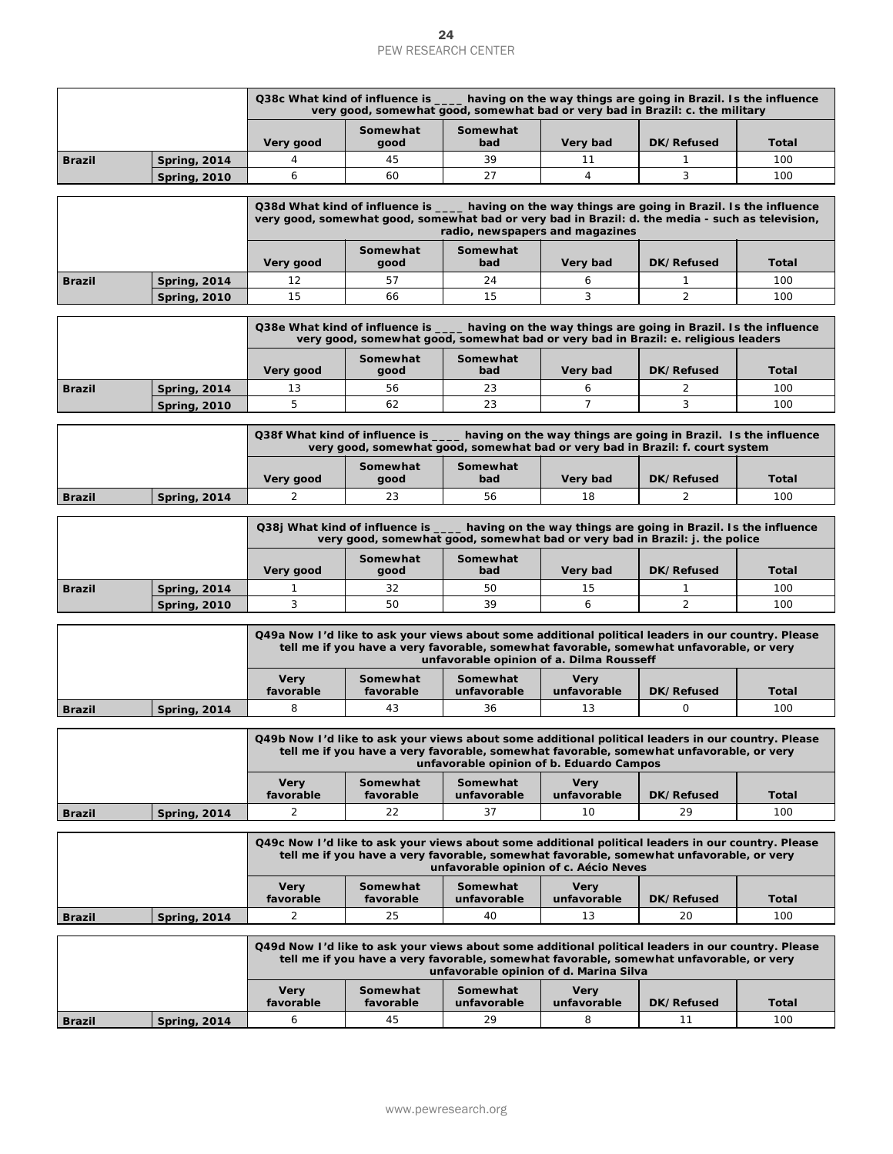|                                                                                     |                     | Q38c What kind of influence is<br>having on the way things are going in Brazil. Is the influence<br>very good, somewhat good, somewhat bad or very bad in Brazil: c. the military |    |    |  |  |     |  |  |
|-------------------------------------------------------------------------------------|---------------------|-----------------------------------------------------------------------------------------------------------------------------------------------------------------------------------|----|----|--|--|-----|--|--|
| Somewhat<br>Somewhat<br>bad<br>Total<br>DK/Refused<br>Very bad<br>Very good<br>aood |                     |                                                                                                                                                                                   |    |    |  |  |     |  |  |
| <b>Brazil</b>                                                                       | <b>Spring, 2014</b> |                                                                                                                                                                                   | 45 | 39 |  |  | 100 |  |  |
|                                                                                     | <b>Spring, 2010</b> |                                                                                                                                                                                   | 60 | 27 |  |  | 100 |  |  |

|               |                     |                                                                                                                                                                                                                                         |                                  | 24<br><b>PEW RESEARCH CENTER</b>                                                                                                                                                                                                          |                            |                                                                |              |  |  |  |  |
|---------------|---------------------|-----------------------------------------------------------------------------------------------------------------------------------------------------------------------------------------------------------------------------------------|----------------------------------|-------------------------------------------------------------------------------------------------------------------------------------------------------------------------------------------------------------------------------------------|----------------------------|----------------------------------------------------------------|--------------|--|--|--|--|
|               |                     |                                                                                                                                                                                                                                         |                                  | Q38c What kind of influence is _____ having on the way things are going in Brazil. Is the influence                                                                                                                                       |                            |                                                                |              |  |  |  |  |
|               |                     | Very good                                                                                                                                                                                                                               | Somewhat<br>qood                 | very good, somewhat good, somewhat bad or very bad in Brazil: c. the military<br>Somewhat<br>bad                                                                                                                                          | Very bad                   | DK/Refused                                                     | Total        |  |  |  |  |
| <b>Brazil</b> | <b>Spring, 2014</b> | 4                                                                                                                                                                                                                                       | 45                               | 39                                                                                                                                                                                                                                        | 11                         | 1                                                              | 100          |  |  |  |  |
|               | <b>Spring, 2010</b> | 6                                                                                                                                                                                                                                       | 60                               | 27                                                                                                                                                                                                                                        | 4                          | 3                                                              | 100          |  |  |  |  |
|               |                     |                                                                                                                                                                                                                                         | Q38d What kind of influence is _ | very good, somewhat good, somewhat bad or very bad in Brazil: d. the media - such as television,<br>radio, newspapers and magazines                                                                                                       |                            | having on the way things are going in Brazil. Is the influence |              |  |  |  |  |
|               |                     | Very good                                                                                                                                                                                                                               | Somewhat<br>good                 | Somewhat<br>bad                                                                                                                                                                                                                           | Very bad                   | DK/Refused                                                     | Total        |  |  |  |  |
| <b>Brazil</b> | <b>Spring, 2014</b> | 12                                                                                                                                                                                                                                      | 57                               | 24                                                                                                                                                                                                                                        | 6                          | 1                                                              | 100          |  |  |  |  |
|               | <b>Spring, 2010</b> | 15                                                                                                                                                                                                                                      | 66                               | 15                                                                                                                                                                                                                                        | 3                          | $\overline{2}$                                                 | 100          |  |  |  |  |
|               |                     |                                                                                                                                                                                                                                         | Somewhat                         | Q38e What kind of influence is _____ having on the way things are going in Brazil. Is the influence<br>very good, somewhat good, somewhat bad or very bad in Brazil: e. religious leaders<br>Somewhat                                     |                            |                                                                |              |  |  |  |  |
|               |                     | Very good                                                                                                                                                                                                                               | good                             | bad                                                                                                                                                                                                                                       | Very bad                   | DK/Refused                                                     | Total        |  |  |  |  |
| <b>Brazil</b> | <b>Spring, 2014</b> | 13                                                                                                                                                                                                                                      | 56                               | 23                                                                                                                                                                                                                                        | 6<br>$\overline{7}$        | 2                                                              | 100          |  |  |  |  |
|               | <b>Spring, 2010</b> | 5                                                                                                                                                                                                                                       | 62                               | 23                                                                                                                                                                                                                                        |                            | 3                                                              | 100          |  |  |  |  |
|               |                     |                                                                                                                                                                                                                                         | Q38f What kind of influence is   | very good, somewhat good, somewhat bad or very bad in Brazil: f. court system                                                                                                                                                             |                            | having on the way things are going in Brazil. Is the influence |              |  |  |  |  |
|               |                     | Very good                                                                                                                                                                                                                               | Somewhat<br>good                 | Somewhat<br>bad                                                                                                                                                                                                                           | Very bad                   | DK/Refused                                                     | Total        |  |  |  |  |
| <b>Brazil</b> | <b>Spring, 2014</b> | 2                                                                                                                                                                                                                                       | 23                               | 56                                                                                                                                                                                                                                        | 18                         | 2                                                              | 100          |  |  |  |  |
|               |                     |                                                                                                                                                                                                                                         |                                  | Q38j What kind of influence is _____ having on the way things are going in Brazil. Is the influence<br>very good, somewhat good, somewhat bad or very bad in Brazil: j. the police                                                        |                            |                                                                |              |  |  |  |  |
|               |                     | Very good                                                                                                                                                                                                                               | Somewhat<br>good                 | Somewhat<br>bad                                                                                                                                                                                                                           | Very bad                   | DK/Refused                                                     | Total        |  |  |  |  |
| <b>Brazil</b> | <b>Spring, 2014</b> | $\mathbf{1}$                                                                                                                                                                                                                            | 32                               | 50                                                                                                                                                                                                                                        | 15                         | 1                                                              | 100          |  |  |  |  |
|               | <b>Spring, 2010</b> | 3                                                                                                                                                                                                                                       | 50                               | 39                                                                                                                                                                                                                                        | 6                          | 2                                                              | 100          |  |  |  |  |
|               |                     |                                                                                                                                                                                                                                         |                                  | Q49a Now I'd like to ask your views about some additional political leaders in our country. Please<br>tell me if you have a very favorable, somewhat favorable, somewhat unfavorable, or very<br>unfavorable opinion of a. Dilma Rousseff |                            |                                                                |              |  |  |  |  |
|               |                     | <b>Very</b><br>favorable                                                                                                                                                                                                                | Somewhat<br>favorable            | Somewhat<br>unfavorable                                                                                                                                                                                                                   | <b>Very</b><br>unfavorable | DK/Refused                                                     | Total        |  |  |  |  |
| <b>Brazil</b> | <b>Spring, 2014</b> | 8                                                                                                                                                                                                                                       | 43                               | 36                                                                                                                                                                                                                                        | 13                         | 0                                                              | 100          |  |  |  |  |
|               |                     |                                                                                                                                                                                                                                         |                                  | Q49b Now I'd like to ask your views about some additional political leaders in our country. Please<br>tell me if you have a very favorable, somewhat favorable, somewhat unfavorable, or very<br>unfavorable opinion of b. Eduardo Campos |                            |                                                                |              |  |  |  |  |
|               |                     | <b>Very</b><br>favorable                                                                                                                                                                                                                | Somewhat<br>favorable            | Somewhat<br>unfavorable                                                                                                                                                                                                                   | <b>Very</b><br>unfavorable | DK/Refused                                                     | <b>Total</b> |  |  |  |  |
| <b>Brazil</b> | <b>Spring, 2014</b> | $\overline{2}$                                                                                                                                                                                                                          | 22                               | 37                                                                                                                                                                                                                                        | 10                         | 29                                                             | 100          |  |  |  |  |
|               |                     |                                                                                                                                                                                                                                         |                                  | Q49c Now I'd like to ask your views about some additional political leaders in our country. Please<br>tell me if you have a very favorable, somewhat favorable, somewhat unfavorable, or very<br>unfavorable opinion of c. Aécio Neves    |                            |                                                                |              |  |  |  |  |
|               |                     | <b>Very</b><br>favorable                                                                                                                                                                                                                | Somewhat<br>favorable            | Somewhat<br>unfavorable                                                                                                                                                                                                                   | <b>Very</b><br>unfavorable | DK/Refused                                                     | <b>Total</b> |  |  |  |  |
| <b>Brazil</b> | <b>Spring, 2014</b> | $\overline{2}$                                                                                                                                                                                                                          | 25                               | 40                                                                                                                                                                                                                                        | 13                         | 20                                                             | 100          |  |  |  |  |
|               |                     |                                                                                                                                                                                                                                         |                                  |                                                                                                                                                                                                                                           |                            |                                                                |              |  |  |  |  |
|               |                     | Q49d Now I'd like to ask your views about some additional political leaders in our country. Please<br>tell me if you have a very favorable, somewhat favorable, somewhat unfavorable, or very<br>unfavorable opinion of d. Marina Silva |                                  |                                                                                                                                                                                                                                           |                            |                                                                |              |  |  |  |  |
|               |                     | <b>Very</b><br>favorable                                                                                                                                                                                                                | Somewhat<br>favorable            | Somewhat<br>unfavorable                                                                                                                                                                                                                   | <b>Very</b><br>unfavorable | DK/Refused                                                     | <b>Total</b> |  |  |  |  |
| Brazil        | <b>Spring, 2014</b> | 6                                                                                                                                                                                                                                       | 45                               | 29                                                                                                                                                                                                                                        | 8                          | 11                                                             | 100          |  |  |  |  |
|               |                     |                                                                                                                                                                                                                                         |                                  | www.pewresearch.org                                                                                                                                                                                                                       |                            |                                                                |              |  |  |  |  |

|               |                     | Q38e What kind of influence is ____ having on the way things are going in Brazil. Is the influence<br>very good, somewhat good, somewhat bad or very bad in Brazil: e. religious leaders |    |    |  |  |     |  |
|---------------|---------------------|------------------------------------------------------------------------------------------------------------------------------------------------------------------------------------------|----|----|--|--|-----|--|
|               |                     | Somewhat<br>Somewhat<br><b>Total</b><br>DK/Refused<br>bad<br>Very bad<br>Very good<br>aood                                                                                               |    |    |  |  |     |  |
| <b>Brazil</b> | Spring, 2014        |                                                                                                                                                                                          | 56 | 23 |  |  | 100 |  |
|               | <b>Spring, 2010</b> |                                                                                                                                                                                          | 62 | 23 |  |  | 100 |  |

|               |                                                                            | Q38f What kind of influence is<br>having on the way things are going in Brazil. Is the influence<br>very good, somewhat good, somewhat bad or very bad in Brazil: f. court system |  |  |  |  |              |  |  |
|---------------|----------------------------------------------------------------------------|-----------------------------------------------------------------------------------------------------------------------------------------------------------------------------------|--|--|--|--|--------------|--|--|
|               | Somewhat<br>Somewhat<br>bad<br>DK/Refused<br>Very bad<br>Very good<br>aood |                                                                                                                                                                                   |  |  |  |  | <b>Total</b> |  |  |
| <b>Brazil</b> | <b>Spring, 2014</b>                                                        | 100<br>23<br>56<br>18                                                                                                                                                             |  |  |  |  |              |  |  |

|               |                     | Q38j What kind of influence is _____ having on the way things are going in Brazil. Is the influence<br>very good, somewhat good, somewhat bad or very bad in Brazil: j. the police |    |    |  |  |     |  |
|---------------|---------------------|------------------------------------------------------------------------------------------------------------------------------------------------------------------------------------|----|----|--|--|-----|--|
|               |                     | Somewhat<br>Somewhat<br><b>Total</b><br>DK/Refused<br>bad<br>Very bad<br>Very good<br>aood                                                                                         |    |    |  |  |     |  |
| <b>Brazil</b> | <b>Spring, 2014</b> |                                                                                                                                                                                    | 32 | 50 |  |  | 100 |  |
|               | <b>Spring, 2010</b> |                                                                                                                                                                                    | 50 | 39 |  |  | 100 |  |

| Q49a Now I'd like to ask your views about some additional political leaders in our country. Please<br>tell me if you have a very favorable, somewhat favorable, somewhat unfavorable, or very<br>unfavorable opinion of a. Dilma Rousseff |              |                          |                       |                         |                            |            |       |  |  |
|-------------------------------------------------------------------------------------------------------------------------------------------------------------------------------------------------------------------------------------------|--------------|--------------------------|-----------------------|-------------------------|----------------------------|------------|-------|--|--|
|                                                                                                                                                                                                                                           |              | <b>Verv</b><br>favorable | Somewhat<br>favorable | Somewhat<br>unfavorable | <b>Verv</b><br>unfavorable | DK/Refused | Total |  |  |
| <b>Brazil</b>                                                                                                                                                                                                                             | Spring, 2014 | 100<br>36<br>43          |                       |                         |                            |            |       |  |  |

|                                                   |                     | Q49b Now I'd like to ask your views about some additional political leaders in our country. Please<br>tell me if you have a very favorable, somewhat favorable, somewhat unfavorable, or very<br>unfavorable opinion of b. Eduardo Campos |  |                         |                            |            |       |  |  |  |
|---------------------------------------------------|---------------------|-------------------------------------------------------------------------------------------------------------------------------------------------------------------------------------------------------------------------------------------|--|-------------------------|----------------------------|------------|-------|--|--|--|
| Somewhat<br><b>Verv</b><br>favorable<br>favorable |                     |                                                                                                                                                                                                                                           |  | Somewhat<br>unfavorable | <b>Verv</b><br>unfavorable | DK/Refused | Total |  |  |  |
| <b>Brazil</b>                                     | <b>Spring, 2014</b> | 100<br>37<br>29<br>22<br>10                                                                                                                                                                                                               |  |                         |                            |            |       |  |  |  |

|        |                     | Q49c Now I'd like to ask your views about some additional political leaders in our country. Please<br>tell me if you have a very favorable, somewhat favorable, somewhat unfavorable, or very<br>unfavorable opinion of c. Aécio Neves |                       |                         |                            |            |              |  |
|--------|---------------------|----------------------------------------------------------------------------------------------------------------------------------------------------------------------------------------------------------------------------------------|-----------------------|-------------------------|----------------------------|------------|--------------|--|
|        |                     | Verv<br>favorable                                                                                                                                                                                                                      | Somewhat<br>favorable | Somewhat<br>unfavorable | <b>Verv</b><br>unfavorable | DK/Refused | <b>Total</b> |  |
| Brazil | <b>Spring, 2014</b> |                                                                                                                                                                                                                                        | 25                    | 40                      |                            | 20         | 100          |  |

| Q49d Now I'd like to ask your views about some additional political leaders in our country. Please<br>tell me if you have a very favorable, somewhat favorable, somewhat unfavorable, or very<br>unfavorable opinion of d. Marina Silva |                     |                   |                       |                         |                            |            |              |  |  |
|-----------------------------------------------------------------------------------------------------------------------------------------------------------------------------------------------------------------------------------------|---------------------|-------------------|-----------------------|-------------------------|----------------------------|------------|--------------|--|--|
|                                                                                                                                                                                                                                         |                     | Verv<br>favorable | Somewhat<br>favorable | Somewhat<br>unfavorable | <b>Verv</b><br>unfavorable | DK/Refused | <b>Total</b> |  |  |
| l Brazil                                                                                                                                                                                                                                | <b>Spring, 2014</b> | 100<br>29<br>45   |                       |                         |                            |            |              |  |  |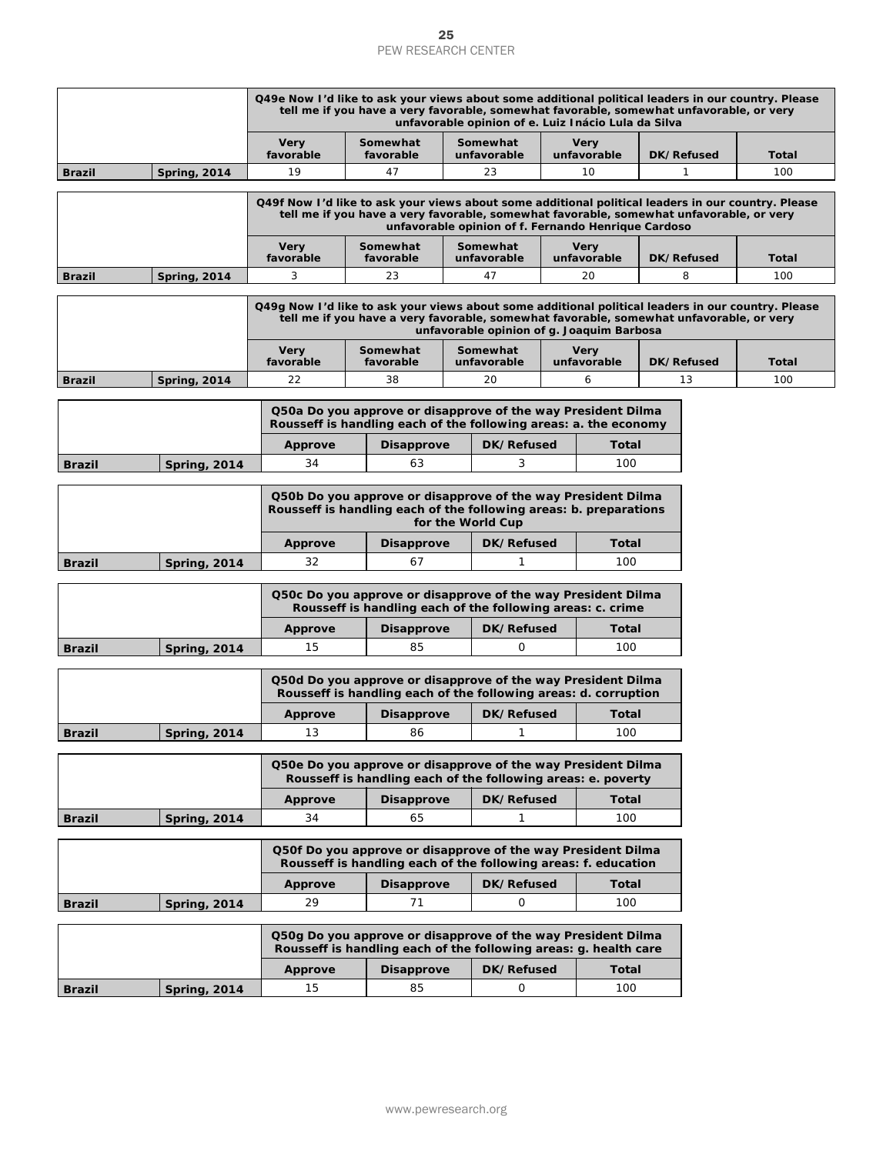|               |                     |                                                                                                                                   | <b>PEW RESEARCH CENTER</b>                                                                                                                                                                                                                           | 25 |                         |  |                                                     |  |            |              |
|---------------|---------------------|-----------------------------------------------------------------------------------------------------------------------------------|------------------------------------------------------------------------------------------------------------------------------------------------------------------------------------------------------------------------------------------------------|----|-------------------------|--|-----------------------------------------------------|--|------------|--------------|
|               |                     |                                                                                                                                   |                                                                                                                                                                                                                                                      |    |                         |  |                                                     |  |            |              |
|               |                     | Q49e Now I'd like to ask your views about some additional political leaders in our country. Please                                | tell me if you have a very favorable, somewhat favorable, somewhat unfavorable, or very                                                                                                                                                              |    |                         |  | unfavorable opinion of e. Luiz Inácio Lula da Silva |  |            |              |
|               |                     | Very<br>favorable                                                                                                                 | Somewhat<br>favorable                                                                                                                                                                                                                                |    | Somewhat<br>unfavorable |  | <b>Very</b><br>unfavorable                          |  | DK/Refused | Total        |
| <b>Brazil</b> | <b>Spring, 2014</b> | 19                                                                                                                                | 47                                                                                                                                                                                                                                                   |    | 23                      |  | 10                                                  |  | 1          | 100          |
|               |                     |                                                                                                                                   | Q49f Now I'd like to ask your views about some additional political leaders in our country. Please<br>tell me if you have a very favorable, somewhat favorable, somewhat unfavorable, or very<br>unfavorable opinion of f. Fernando Henrique Cardoso |    |                         |  |                                                     |  |            |              |
|               |                     | <b>Very</b><br>favorable                                                                                                          | Somewhat<br>favorable                                                                                                                                                                                                                                |    | Somewhat<br>unfavorable |  | <b>Very</b><br>unfavorable                          |  | DK/Refused | <b>Total</b> |
| <b>Brazil</b> | <b>Spring, 2014</b> | 3                                                                                                                                 | 23                                                                                                                                                                                                                                                   |    | 47                      |  | 20                                                  |  | 8          | 100          |
|               |                     | Q49g Now I'd like to ask your views about some additional political leaders in our country. Please                                | tell me if you have a very favorable, somewhat favorable, somewhat unfavorable, or very                                                                                                                                                              |    |                         |  | unfavorable opinion of g. Joaquim Barbosa           |  |            |              |
|               |                     | Very<br>favorable                                                                                                                 | Somewhat<br>favorable                                                                                                                                                                                                                                |    | Somewhat<br>unfavorable |  | <b>Very</b><br>unfavorable                          |  | DK/Refused | Total        |
| <b>Brazil</b> | <b>Spring, 2014</b> | 22                                                                                                                                | 38                                                                                                                                                                                                                                                   |    | 20                      |  | 6                                                   |  | 13         | 100          |
|               |                     | Q50a Do you approve or disapprove of the way President Dilma<br>Rousseff is handling each of the following areas: a. the economy  |                                                                                                                                                                                                                                                      |    |                         |  |                                                     |  |            |              |
|               |                     | Approve                                                                                                                           | <b>Disapprove</b>                                                                                                                                                                                                                                    |    | DK/Refused              |  | Total                                               |  |            |              |
| <b>Brazil</b> | <b>Spring, 2014</b> | 34                                                                                                                                | 63                                                                                                                                                                                                                                                   |    | 3                       |  | 100                                                 |  |            |              |
|               |                     | Q50b Do you approve or disapprove of the way President Dilma<br>Rousseff is handling each of the following areas: b. preparations |                                                                                                                                                                                                                                                      |    | for the World Cup       |  |                                                     |  |            |              |
|               |                     | <b>Approve</b>                                                                                                                    | <b>Disapprove</b>                                                                                                                                                                                                                                    |    | DK/Refused              |  | <b>Total</b>                                        |  |            |              |
| <b>Brazil</b> | <b>Spring, 2014</b> | 32                                                                                                                                | 67                                                                                                                                                                                                                                                   |    | 1                       |  | 100                                                 |  |            |              |
|               |                     | Q50c Do you approve or disapprove of the way President Dilma                                                                      | Rousseff is handling each of the following areas: c. crime                                                                                                                                                                                           |    |                         |  |                                                     |  |            |              |
|               |                     | <b>Approve</b>                                                                                                                    | <b>Disapprove</b>                                                                                                                                                                                                                                    |    | DK/Refused              |  | Total                                               |  |            |              |
| <b>Brazil</b> | <b>Spring, 2014</b> | 15                                                                                                                                | 85                                                                                                                                                                                                                                                   |    | 0                       |  | 100                                                 |  |            |              |
|               |                     | Q50d Do you approve or disapprove of the way President Dilma                                                                      | Rousseff is handling each of the following areas: d. corruption                                                                                                                                                                                      |    |                         |  |                                                     |  |            |              |
|               |                     | <b>Approve</b>                                                                                                                    | <b>Disapprove</b>                                                                                                                                                                                                                                    |    | DK/Refused              |  | Total                                               |  |            |              |
| <b>Brazil</b> | <b>Spring, 2014</b> | 13                                                                                                                                | 86                                                                                                                                                                                                                                                   |    | 1                       |  | 100                                                 |  |            |              |
|               |                     | Q50e Do you approve or disapprove of the way President Dilma                                                                      | Rousseff is handling each of the following areas: e. poverty                                                                                                                                                                                         |    |                         |  |                                                     |  |            |              |
|               |                     | <b>Approve</b>                                                                                                                    | <b>Disapprove</b>                                                                                                                                                                                                                                    |    | DK/Refused              |  | <b>Total</b>                                        |  |            |              |
| <b>Brazil</b> | <b>Spring, 2014</b> | 34                                                                                                                                | 65                                                                                                                                                                                                                                                   |    | 1                       |  | 100                                                 |  |            |              |
|               |                     | Q50f Do you approve or disapprove of the way President Dilma                                                                      | Rousseff is handling each of the following areas: f. education                                                                                                                                                                                       |    |                         |  |                                                     |  |            |              |
|               |                     | <b>Approve</b>                                                                                                                    | <b>Disapprove</b>                                                                                                                                                                                                                                    |    | DK/Refused              |  | <b>Total</b>                                        |  |            |              |
| <b>Brazil</b> | <b>Spring, 2014</b> | 29                                                                                                                                | 71                                                                                                                                                                                                                                                   |    | 0                       |  | 100                                                 |  |            |              |
|               |                     | Q50g Do you approve or disapprove of the way President Dilma<br>Rousseff is handling each of the following areas: g. health care  |                                                                                                                                                                                                                                                      |    |                         |  |                                                     |  |            |              |
|               |                     | <b>Approve</b>                                                                                                                    | <b>Disapprove</b>                                                                                                                                                                                                                                    |    | DK/Refused              |  | <b>Total</b>                                        |  |            |              |
| <b>Brazil</b> | <b>Spring, 2014</b> | 15                                                                                                                                | 85                                                                                                                                                                                                                                                   |    | 0                       |  | 100                                                 |  |            |              |
|               |                     |                                                                                                                                   | www.pewresearch.org                                                                                                                                                                                                                                  |    |                         |  |                                                     |  |            |              |